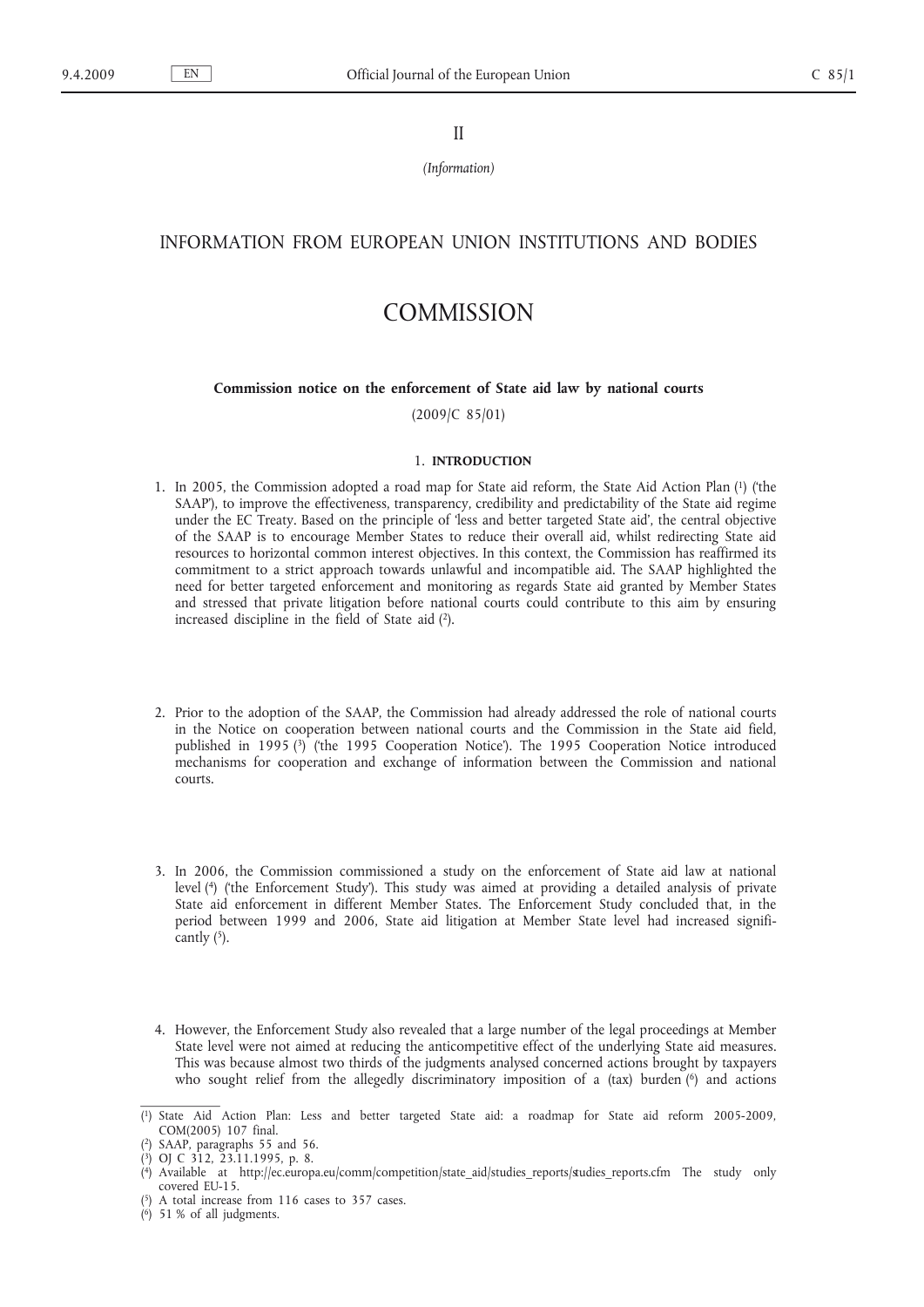II

*(Information)*

# INFORMATION FROM EUROPEAN UNION INSTITUTIONS AND BODIES

# **COMMISSION**

## **Commission notice on the enforcement of State aid law by national courts**

(2009/C 85/01)

## 1. **INTRODUCTION**

- 1. In 2005, the Commission adopted a road map for State aid reform, the State Aid Action Plan (1) ('the SAAP'), to improve the effectiveness, transparency, credibility and predictability of the State aid regime under the EC Treaty. Based on the principle of 'less and better targeted State aid', the central objective of the SAAP is to encourage Member States to reduce their overall aid, whilst redirecting State aid resources to horizontal common interest objectives. In this context, the Commission has reaffirmed its commitment to a strict approach towards unlawful and incompatible aid. The SAAP highlighted the need for better targeted enforcement and monitoring as regards State aid granted by Member States and stressed that private litigation before national courts could contribute to this aim by ensuring increased discipline in the field of State aid  $(2)$ .
- 2. Prior to the adoption of the SAAP, the Commission had already addressed the role of national courts in the Notice on cooperation between national courts and the Commission in the State aid field, published in 1995 (3) ('the 1995 Cooperation Notice'). The 1995 Cooperation Notice introduced mechanisms for cooperation and exchange of information between the Commission and national courts.
- 3. In 2006, the Commission commissioned a study on the enforcement of State aid law at national level (4) ('the Enforcement Study'). This study was aimed at providing a detailed analysis of private State aid enforcement in different Member States. The Enforcement Study concluded that, in the period between 1999 and 2006, State aid litigation at Member State level had increased significantly  $(5)$ .
- 4. However, the Enforcement Study also revealed that a large number of the legal proceedings at Member State level were not aimed at reducing the anticompetitive effect of the underlying State aid measures. This was because almost two thirds of the judgments analysed concerned actions brought by taxpayers who sought relief from the allegedly discriminatory imposition of a (tax) burden  $(6)$  and actions

<sup>(</sup> 1) State Aid Action Plan: Less and better targeted State aid: a roadmap for State aid reform 2005-2009, COM(2005) 107 final.

<sup>(</sup> 2) SAAP, paragraphs 55 and 56.

<sup>(</sup> 3) OJ C 312, 23.11.1995, p. 8.

<sup>(</sup> 4) Available at [http://ec.europa.eu/comm/competition/state\\_aid/studies\\_reports/studies\\_reports.cfm](http://ec.europa.eu/comm/competition/state_aid/studies_reports/studies_reports.cfm) The study only covered EU-15.

<sup>(</sup> 5) A total increase from 116 cases to 357 cases.

<sup>(</sup> 6) 51 % of all judgments.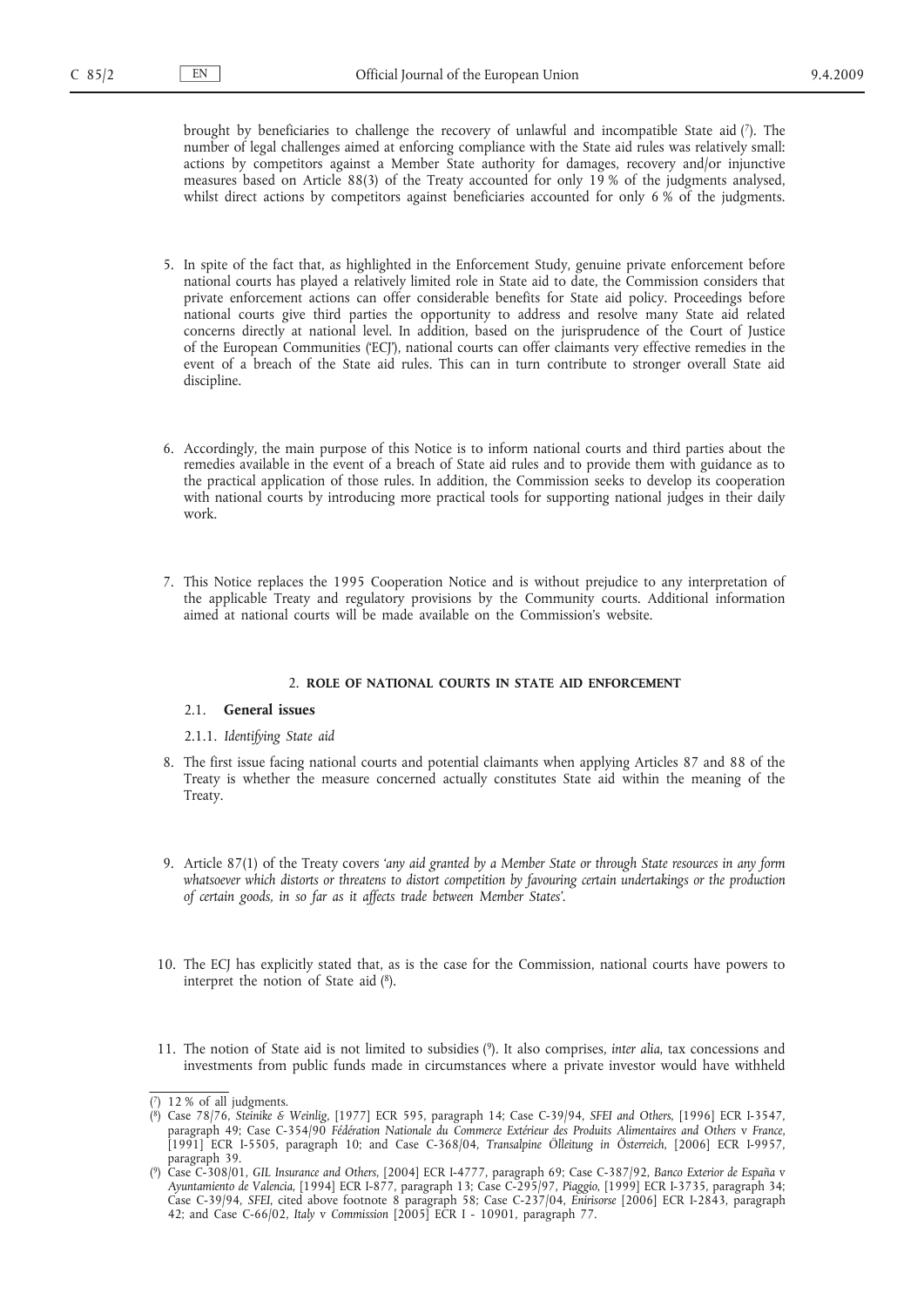brought by beneficiaries to challenge the recovery of unlawful and incompatible State aid  $\binom{7}{1}$ . The number of legal challenges aimed at enforcing compliance with the State aid rules was relatively small: actions by competitors against a Member State authority for damages, recovery and/or injunctive measures based on Article 88(3) of the Treaty accounted for only 19 % of the judgments analysed, whilst direct actions by competitors against beneficiaries accounted for only 6 % of the judgments.

- 5. In spite of the fact that, as highlighted in the Enforcement Study, genuine private enforcement before national courts has played a relatively limited role in State aid to date, the Commission considers that private enforcement actions can offer considerable benefits for State aid policy. Proceedings before national courts give third parties the opportunity to address and resolve many State aid related concerns directly at national level. In addition, based on the jurisprudence of the Court of Justice of the European Communities ('ECJ'), national courts can offer claimants very effective remedies in the event of a breach of the State aid rules. This can in turn contribute to stronger overall State aid discipline.
- 6. Accordingly, the main purpose of this Notice is to inform national courts and third parties about the remedies available in the event of a breach of State aid rules and to provide them with guidance as to the practical application of those rules. In addition, the Commission seeks to develop its cooperation with national courts by introducing more practical tools for supporting national judges in their daily work.
- 7. This Notice replaces the 1995 Cooperation Notice and is without prejudice to any interpretation of the applicable Treaty and regulatory provisions by the Community courts. Additional information aimed at national courts will be made available on the Commission's website.

#### 2. **ROLE OF NATIONAL COURTS IN STATE AID ENFORCEMENT**

## 2.1. **General issues**

# 2.1.1. *Identifying State aid*

- 8. The first issue facing national courts and potential claimants when applying Articles 87 and 88 of the Treaty is whether the measure concerned actually constitutes State aid within the meaning of the Treaty.
- 9. Article 87(1) of the Treaty covers *'any aid granted by a Member State or through State resources in any form*  whatsoever which distorts or threatens to distort competition by favouring certain undertakings or the production *of certain goods, in so far as it affects trade between Member States'*.
- 10. The ECJ has explicitly stated that, as is the case for the Commission, national courts have powers to interpret the notion of State aid (8).
- 11. The notion of State aid is not limited to subsidies (9). It also comprises, *inter alia*, tax concessions and investments from public funds made in circumstances where a private investor would have withheld

<sup>(</sup> 7) 12 % of all judgments.

<sup>(</sup> 8) Case 78/76, *Steinike & Weinlig*, [1977] ECR 595, paragraph 14; Case C-39/94, *SFEI and Others*, [1996] ECR I-3547, paragraph 49; Case C-354/90 *Fédération Nationale du Commerce Extérieur des Produits Alimentaires and Others* v *France*, [1991] ECR I-5505, paragraph 10; and Case C-368/04, *Transalpine Ölleitung in Österreich*, [2006] ECR I-9957, paragraph 39.

<sup>(</sup> 9) Case C-308/01, *GIL Insurance and Others*, [2004] ECR I-4777, paragraph 69; Case C-387/92, *Banco Exterior de España* v *Ayuntamiento de Valencia*, [1994] ECR I-877, paragraph 13; Case C-295/97, *Piaggio*, [1999] ECR I-3735, paragraph 34; Case C-39/94, *SFEI*, cited above footnote 8 paragraph 58; Case C-237/04, *Enirisorse* [2006] ECR I-2843, paragraph 42; and Case C-66/02, *Italy* v *Commission* [2005] ECR I - 10901, paragraph 77.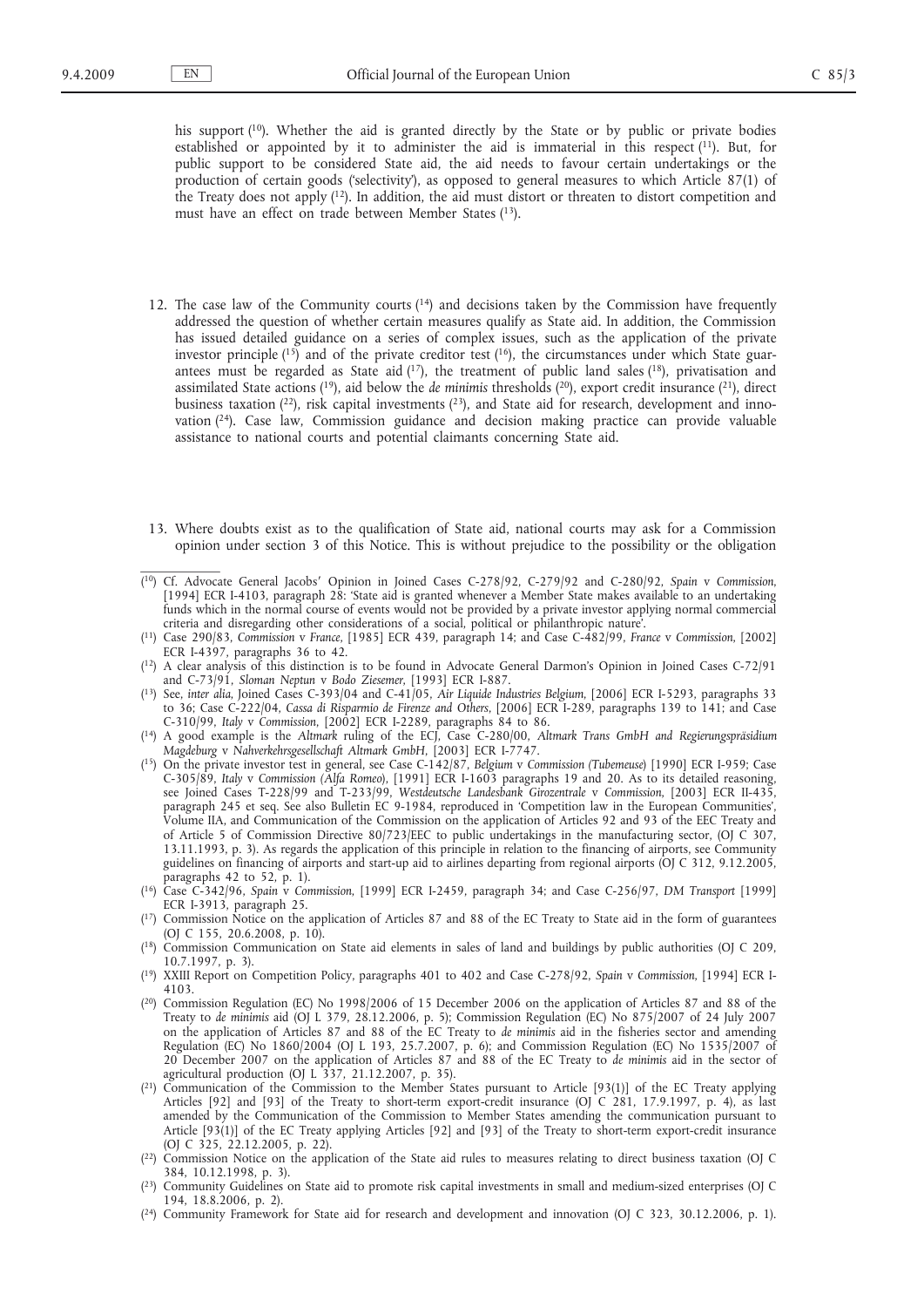his support  $(10)$ . Whether the aid is granted directly by the State or by public or private bodies established or appointed by it to administer the aid is immaterial in this respect  $(11)$ . But, for public support to be considered State aid, the aid needs to favour certain undertakings or the production of certain goods ('selectivity'), as opposed to general measures to which Article 87(1) of the Treaty does not apply (12). In addition, the aid must distort or threaten to distort competition and must have an effect on trade between Member States (13).

- 12. The case law of the Community courts (<sup>14</sup>) and decisions taken by the Commission have frequently addressed the question of whether certain measures qualify as State aid. In addition, the Commission has issued detailed guidance on a series of complex issues, such as the application of the private investor principle  $(15)$  and of the private creditor test  $(16)$ , the circumstances under which State guarantees must be regarded as State aid  $(17)$ , the treatment of public land sales  $(18)$ , privatisation and assimilated State actions (19), aid below the *de minimis* thresholds (20), export credit insurance (21), direct business taxation  $(2^2)$ , risk capital investments  $(2^3)$ , and State aid for research, development and innovation (24). Case law, Commission guidance and decision making practice can provide valuable assistance to national courts and potential claimants concerning State aid.
- 13. Where doubts exist as to the qualification of State aid, national courts may ask for a Commission opinion under section 3 of this Notice. This is without prejudice to the possibility or the obligation

- ( 15) On the private investor test in general, see Case C-142/87, *Belgium* v *Commission (Tubemeuse*) [1990] ECR I-959; Case C-305/89, *Italy* v *Commission (Alfa Romeo*), [1991] ECR I-1603 paragraphs 19 and 20. As to its detailed reasoning, see Joined Cases T-228/99 and T-233/99, *Westdeutsche Landesbank Girozentrale* v *Commission*, [2003] ECR II-435, paragraph 245 et seq. See also Bulletin EC 9-1984, reproduced in 'Competition law in the European Communities', Volume IIA, and Communication of the Commission on the application of Articles 92 and 93 of the EEC Treaty and of Article 5 of Commission Directive 80/723/EEC to public undertakings in the manufacturing sector, (OJ C 307, 13.11.1993, p. 3). As regards the application of this principle in relation to the financing of airports, see Community guidelines on financing of airports and start-up aid to airlines departing from regional airports (OJ C 312, 9.12.2005, paragraphs 42 to 52, p. 1).
- ( 16) Case C-342/96, *Spain* v *Commission*, [1999] ECR I-2459, paragraph 34; and Case C-256/97, *DM Transport* [1999] ECR I-3913, paragraph 25.
- $(1^7)$  Commission Notice on the application of Articles 87 and 88 of the EC Treaty to State aid in the form of guarantees (OJ C 155, 20.6.2008, p. 10).
- ( 18) Commission Communication on State aid elements in sales of land and buildings by public authorities (OJ C 209, 10.7.1997, p. 3).
- ( 19) XXIII Report on Competition Policy, paragraphs 401 to 402 and Case C-278/92, *Spain* v *Commission*, [1994] ECR I-4103.
- $(20)$  Commission Regulation (EC) No 1998/2006 of 15 December 2006 on the application of Articles 87 and 88 of the Treaty to *de minimis* aid (OJ L 379, 28.12.2006, p. 5); Commission Regulation (EC) No 875/2007 of 24 July 2007 on the application of Articles 87 and 88 of the EC Treaty to *de minimis* aid in the fisheries sector and amending Regulation (EC) No 1860/2004 (OJ L 193, 25.7.2007, p. 6); and Commission Regulation (EC) No 1535/2007 of 20 December 2007 on the application of Articles 87 and 88 of the EC Treaty to *de minimis* aid in the sector of agricultural production (OJ L 337, 21.12.2007, p. 35).
- $(21)$  Communication of the Commission to the Member States pursuant to Article [93(1)] of the EC Treaty applying Articles [92] and [93] of the Treaty to short-term export-credit insurance (OJ C 281, 17.9.1997, p. 4), as last amended by the Communication of the Commission to Member States amending the communication pursuant to Article [93(1)] of the EC Treaty applying Articles [92] and [93] of the Treaty to short-term export-credit insurance (OJ C 325, 22.12.2005, p. 22).
- $(22)$  Commission Notice on the application of the State aid rules to measures relating to direct business taxation (OJ C 384, 10.12.1998, p. 3).
- $(23)$ 23) Community Guidelines on State aid to promote risk capital investments in small and medium-sized enterprises (OJ C 194, 18.8.2006, p. 2).
- $(24)$  Community Framework for State aid for research and development and innovation (OJ C 323, 30.12.2006, p. 1).

<sup>(</sup> 10) Cf. Advocate General Jacobs′ Opinion in Joined Cases C-278/92, C-279/92 and C-280/92, *Spain* v *Commission*, [1994] ECR I-4103, paragraph 28: 'State aid is granted whenever a Member State makes available to an undertaking funds which in the normal course of events would not be provided by a private investor applying normal commercial criteria and disregarding other considerations of a social, political or philanthropic nature'.

<sup>(</sup> 11) Case 290/83, *Commission* v *France*, [1985] ECR 439, paragraph 14; and Case C-482/99, *France* v *Commission*, [2002] ECR I-4397, paragraphs 36 to 42.

<sup>(</sup> 12) A clear analysis of this distinction is to be found in Advocate General Darmon's Opinion in Joined Cases C-72/91 and C-73/91, *Sloman Neptun* v *Bodo Ziesemer*, [1993] ECR I-887.

<sup>(</sup> 13) See, *inter alia*, Joined Cases C-393/04 and C-41/05, *Air Liquide Industries Belgium*, [2006] ECR I-5293, paragraphs 33 to 36; Case C-222/04, *Cassa di Risparmio de Firenze and Others*, [2006] ECR I-289, paragraphs 139 to 141; and Case C-310/99, *Italy* v *Commission*, [2002] ECR I-2289, paragraphs 84 to 86.

<sup>(</sup> 14) A good example is the *Altmark* ruling of the ECJ, Case C-280/00, *Altmark Trans GmbH and Regierungspräsidium Magdeburg* v *Nahverkehrsgesellschaft Altmark GmbH*, [2003] ECR I-7747.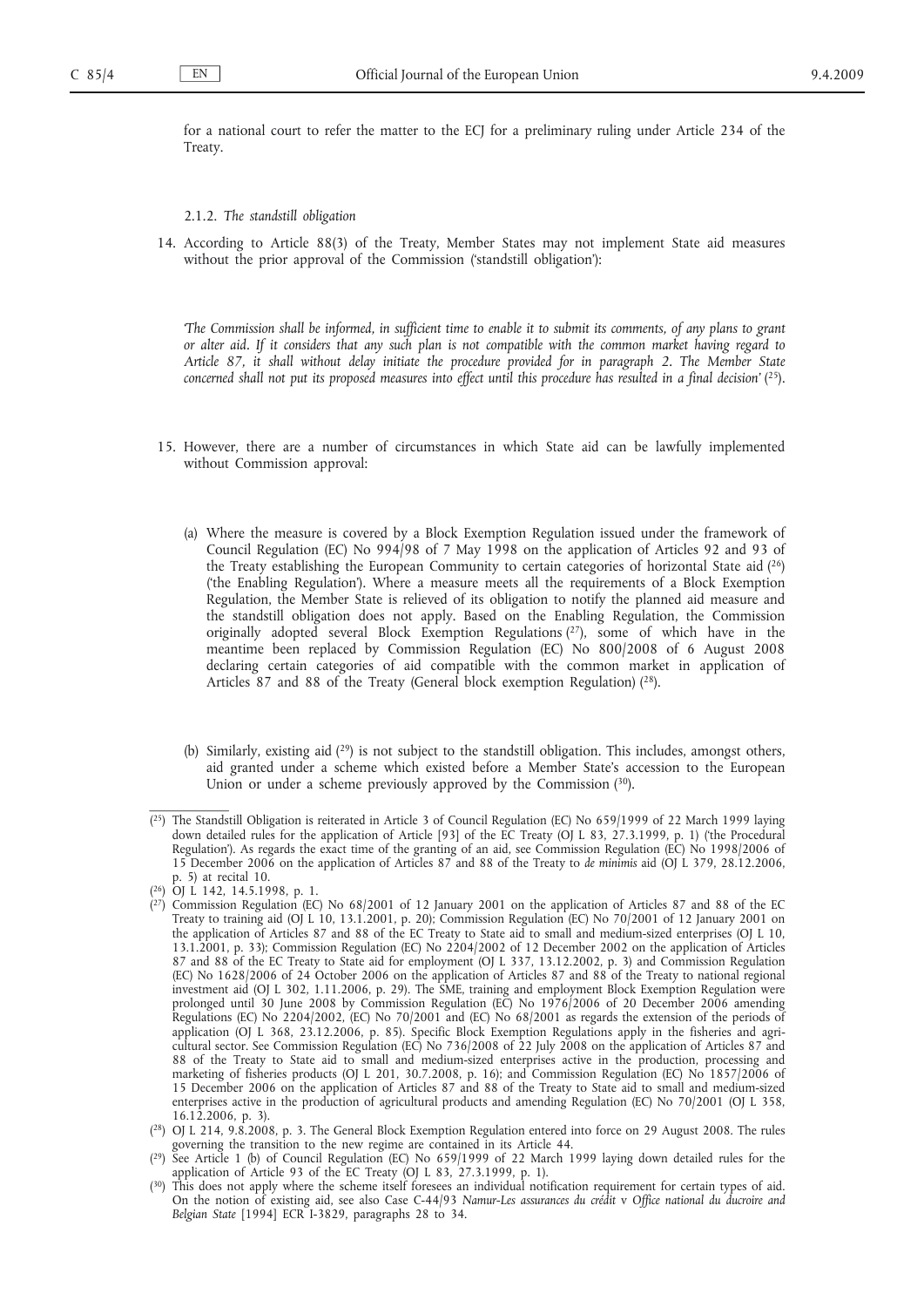for a national court to refer the matter to the ECJ for a preliminary ruling under Article 234 of the Treaty.

#### 2.1.2. *The standstill obligation*

14. According to Article 88(3) of the Treaty, Member States may not implement State aid measures without the prior approval of the Commission ('standstill obligation'):

*'The Commission shall be informed, in sufficient time to enable it to submit its comments, of any plans to grant or alter aid. If it considers that any such plan is not compatible with the common market having regard to Article 87, it shall without delay initiate the procedure provided for in paragraph 2. The Member State concerned shall not put its proposed measures into effect until this procedure has resulted in a final decision'* (25).

- 15. However, there are a number of circumstances in which State aid can be lawfully implemented without Commission approval:
	- (a) Where the measure is covered by a Block Exemption Regulation issued under the framework of Council Regulation (EC) No 994/98 of 7 May 1998 on the application of Articles 92 and 93 of the Treaty establishing the European Community to certain categories of horizontal State aid (26) ('the Enabling Regulation'). Where a measure meets all the requirements of a Block Exemption Regulation, the Member State is relieved of its obligation to notify the planned aid measure and the standstill obligation does not apply. Based on the Enabling Regulation, the Commission originally adopted several Block Exemption Regulations (27), some of which have in the meantime been replaced by Commission Regulation (EC) No 800/2008 of 6 August 2008 declaring certain categories of aid compatible with the common market in application of Articles 87 and 88 of the Treaty (General block exemption Regulation) (<sup>28</sup>).
	- (b) Similarly, existing aid (29) is not subject to the standstill obligation. This includes, amongst others, aid granted under a scheme which existed before a Member State's accession to the European Union or under a scheme previously approved by the Commission (30).

 $(2^5)$  The Standstill Obligation is reiterated in Article 3 of Council Regulation (EC) No 659/1999 of 22 March 1999 laying down detailed rules for the application of Article [93] of the EC Treaty (OJ L 83, 27.3.1999, p. 1) ('the Procedural Regulation'). As regards the exact time of the granting of an aid, see Commission Regulation (EC) No 1998/2006 of 15 December 2006 on the application of Articles 87 and 88 of the Treaty to *de minimis* aid (OJ L 379, 28.12.2006, p. 5) at recital 10.

<sup>(</sup> 26) OJ L 142, 14.5.1998, p. 1.

 $(2^7)$  Commission Regulation (EC) No 68/2001 of 12 January 2001 on the application of Articles 87 and 88 of the EC Treaty to training aid (OJ L 10, 13.1.2001, p. 20); Commission Regulation (EC) No 70/2001 of 12 January 2001 on the application of Articles 87 and 88 of the EC Treaty to State aid to small and medium-sized enterprises (OJ L 10, 13.1.2001, p. 33); Commission Regulation (EC) No 2204/2002 of 12 December 2002 on the application of Articles 87 and 88 of the EC Treaty to State aid for employment (OJ L 337, 13.12.2002, p. 3) and Commission Regulation (EC) No 1628/2006 of 24 October 2006 on the application of Articles 87 and 88 of the Treaty to national regional investment aid (OJ L 302, 1.11.2006, p. 29). The SME, training and employment Block Exemption Regulation were prolonged until 30 June 2008 by Commission Regulation (EC) No 1976/2006 of 20 December 2006 amending Regulations (EC) No 2204/2002, (EC) No 70/2001 and (EC) No 68/2001 as regards the extension of the periods of application (OJ L 368, 23.12.2006, p. 85). Specific Block Exemption Regulations apply in the fisheries and agricultural sector. See Commission Regulation (EC) No 736/2008 of 22 July 2008 on the application of Articles 87 and 88 of the Treaty to State aid to small and medium-sized enterprises active in the production, processing and marketing of fisheries products (OJ L 201, 30.7.2008, p. 16); and Commission Regulation (EC) No 1857/2006 of 15 December 2006 on the application of Articles 87 and 88 of the Treaty to State aid to small and medium-sized enterprises active in the production of agricultural products and amending Regulation (EC) No 70/2001 (OJ L 358, 16.12.2006, p. 3).

 $(28)$  OJ L 214, 9.8.2008, p. 3. The General Block Exemption Regulation entered into force on 29 August 2008. The rules governing the transition to the new regime are contained in its Article 44.

 $(29)$  See Article 1 (b) of Council Regulation (EC) No 659/1999 of 22 March 1999 laying down detailed rules for the application of Article 93 of the EC Treaty (OJ L 83, 27.3.1999, p. 1).

<sup>(30)</sup> This does not apply where the scheme itself foresees an individual notification requirement for certain types of aid. On the notion of existing aid, see also Case C-44/93 *Namur-Les assurances du crédit* v *Office national du ducroire and Belgian State* [1994] ECR I-3829, paragraphs 28 to 34.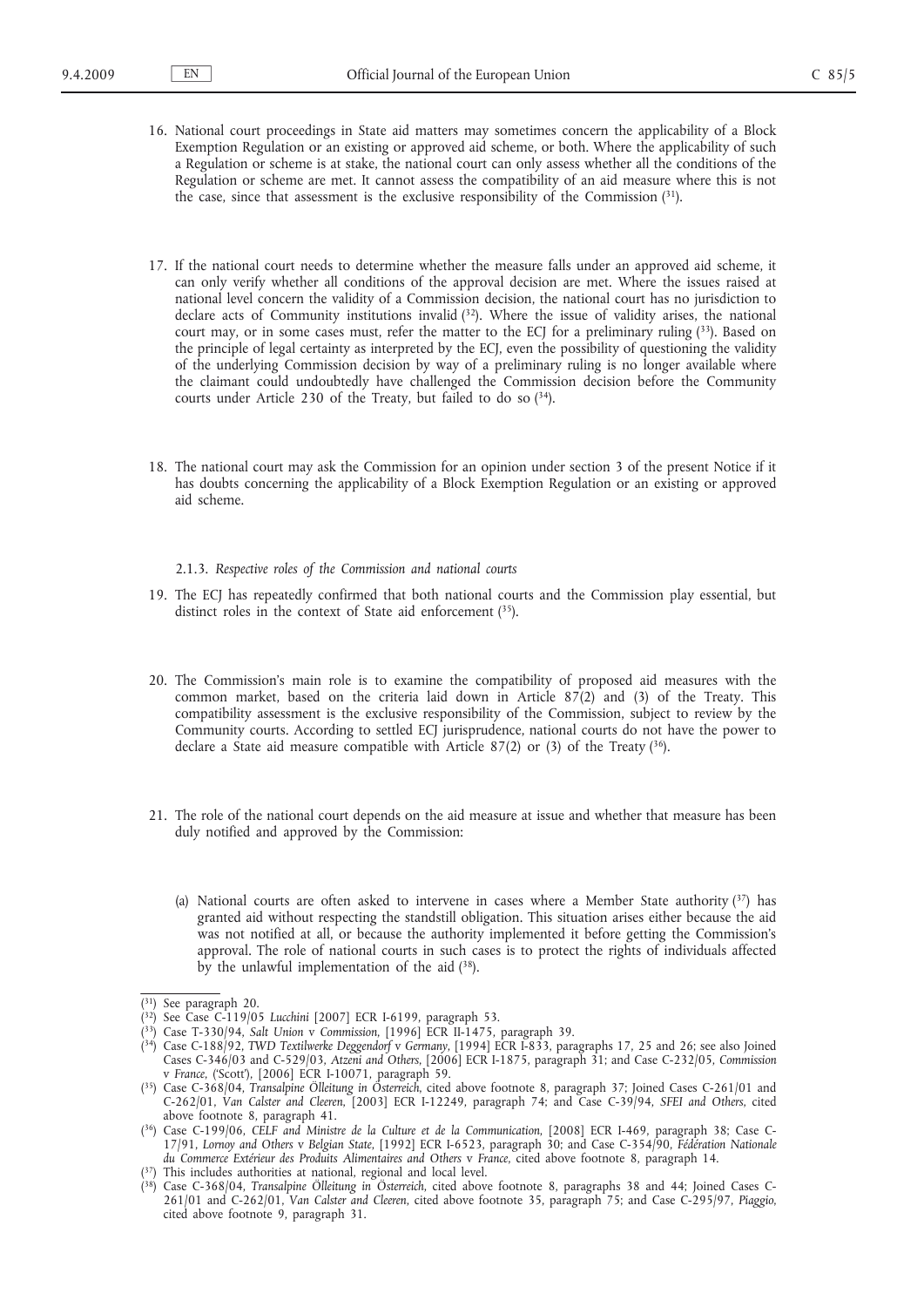- 16. National court proceedings in State aid matters may sometimes concern the applicability of a Block Exemption Regulation or an existing or approved aid scheme, or both. Where the applicability of such a Regulation or scheme is at stake, the national court can only assess whether all the conditions of the Regulation or scheme are met. It cannot assess the compatibility of an aid measure where this is not the case, since that assessment is the exclusive responsibility of the Commission  $(31)$ .
- 17. If the national court needs to determine whether the measure falls under an approved aid scheme, it can only verify whether all conditions of the approval decision are met. Where the issues raised at national level concern the validity of a Commission decision, the national court has no jurisdiction to declare acts of Community institutions invalid  $(32)$ . Where the issue of validity arises, the national court may, or in some cases must, refer the matter to the ECJ for a preliminary ruling  $(33)$ . Based on the principle of legal certainty as interpreted by the ECJ, even the possibility of questioning the validity of the underlying Commission decision by way of a preliminary ruling is no longer available where the claimant could undoubtedly have challenged the Commission decision before the Community courts under Article 230 of the Treaty, but failed to do so (34).
- 18. The national court may ask the Commission for an opinion under section 3 of the present Notice if it has doubts concerning the applicability of a Block Exemption Regulation or an existing or approved aid scheme.
	- 2.1.3. *Respective roles of the Commission and national courts*
- 19. The ECJ has repeatedly confirmed that both national courts and the Commission play essential, but distinct roles in the context of State aid enforcement  $(35)$ .
- 20. The Commission's main role is to examine the compatibility of proposed aid measures with the common market, based on the criteria laid down in Article  $87(2)$  and (3) of the Treaty. This compatibility assessment is the exclusive responsibility of the Commission, subject to review by the Community courts. According to settled ECJ jurisprudence, national courts do not have the power to declare a State aid measure compatible with Article 87(2) or (3) of the Treaty  $(36)$ .
- 21. The role of the national court depends on the aid measure at issue and whether that measure has been duly notified and approved by the Commission:
	- (a) National courts are often asked to intervene in cases where a Member State authority  $(37)$  has granted aid without respecting the standstill obligation. This situation arises either because the aid was not notified at all, or because the authority implemented it before getting the Commission's approval. The role of national courts in such cases is to protect the rights of individuals affected by the unlawful implementation of the aid  $(38)$ .

<sup>(</sup> 31) See paragraph 20.

<sup>(</sup> 32) See Case C-119/05 *Lucchini* [2007] ECR I-6199, paragraph 53.

<sup>(</sup> 33) Case T-330/94, *Salt Union* v *Commission*, [1996] ECR II-1475, paragraph 39.

<sup>(</sup> 34) Case C-188/92, *TWD Textilwerke Deggendorf* v *Germany*, [1994] ECR I-833, paragraphs 17, 25 and 26; see also Joined Cases C-346/03 and C-529/03, *Atzeni and Others*, [2006] ECR I-1875, paragraph 31; and Case C-232/05, *Commission* v *France*, ('Scott'), [2006] ECR I-10071, paragraph 59.

<sup>(</sup> 35) Case C-368/04, *Transalpine Ölleitung in Österreich*, cited above footnote 8, paragraph 37; Joined Cases C-261/01 and C-262/01, *Van Calster and Cleeren*, [2003] ECR I-12249, paragraph 74; and Case C-39/94, *SFEI and Others*, cited above footnote 8, paragraph 41.

<sup>(</sup> 36) Case C-199/06, *CELF and Ministre de la Culture et de la Communication*, [2008] ECR I-469, paragraph 38; Case C-17/91, *Lornoy and Others* v *Belgian State*, [1992] ECR I-6523, paragraph 30; and Case C-354/90, *Fédération Nationale du Commerce Extérieur des Produits Alimentaires and Others* v *France*, cited above footnote 8, paragraph 14.

<sup>(</sup> 37) This includes authorities at national, regional and local level.

<sup>(</sup> 38) Case C-368/04, *Transalpine Ölleitung in Österreich*, cited above footnote 8, paragraphs 38 and 44; Joined Cases C-261/01 and C-262/01, *Van Calster and Cleeren*, cited above footnote 35, paragraph 75; and Case C-295/97, *Piaggio*, cited above footnote 9, paragraph 31.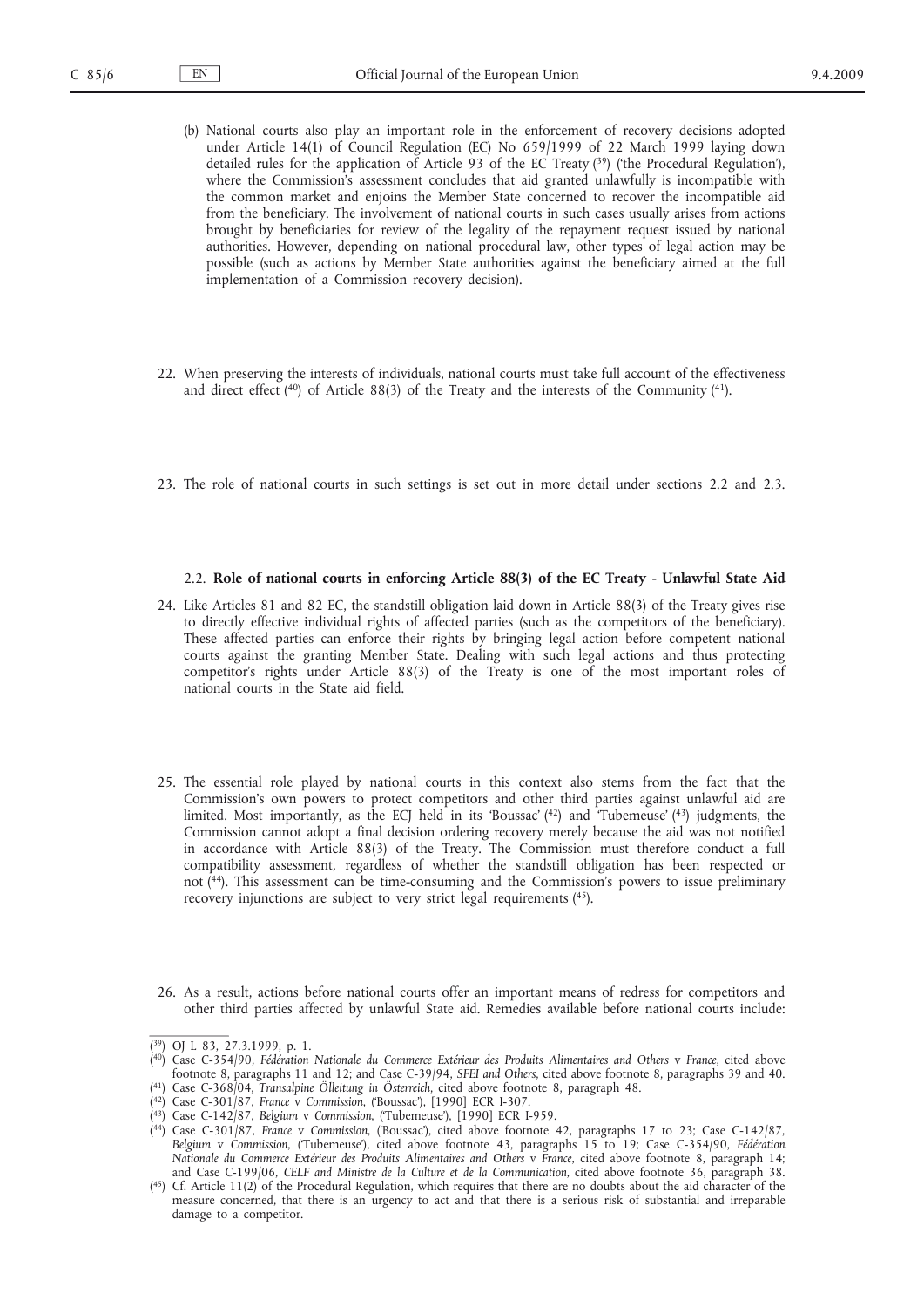- (b) National courts also play an important role in the enforcement of recovery decisions adopted under Article 14(1) of Council Regulation (EC) No 659/1999 of 22 March 1999 laying down detailed rules for the application of Article 93 of the EC Treaty (39) ('the Procedural Regulation'), where the Commission's assessment concludes that aid granted unlawfully is incompatible with the common market and enjoins the Member State concerned to recover the incompatible aid from the beneficiary. The involvement of national courts in such cases usually arises from actions brought by beneficiaries for review of the legality of the repayment request issued by national authorities. However, depending on national procedural law, other types of legal action may be possible (such as actions by Member State authorities against the beneficiary aimed at the full implementation of a Commission recovery decision).
- 22. When preserving the interests of individuals, national courts must take full account of the effectiveness and direct effect ( $40$ ) of Article 88(3) of the Treaty and the interests of the Community ( $41$ ).
- 23. The role of national courts in such settings is set out in more detail under sections 2.2 and 2.3.

# 2.2. **Role of national courts in enforcing Article 88(3) of the EC Treaty - Unlawful State Aid**

- 24. Like Articles 81 and 82 EC, the standstill obligation laid down in Article 88(3) of the Treaty gives rise to directly effective individual rights of affected parties (such as the competitors of the beneficiary). These affected parties can enforce their rights by bringing legal action before competent national courts against the granting Member State. Dealing with such legal actions and thus protecting competitor's rights under Article 88(3) of the Treaty is one of the most important roles of national courts in the State aid field.
- 25. The essential role played by national courts in this context also stems from the fact that the Commission's own powers to protect competitors and other third parties against unlawful aid are limited. Most importantly, as the ECJ held in its 'Boussac' (<sup>42</sup>) and 'Tubemeuse' (<sup>43</sup>) judgments, the Commission cannot adopt a final decision ordering recovery merely because the aid was not notified in accordance with Article 88(3) of the Treaty. The Commission must therefore conduct a full compatibility assessment, regardless of whether the standstill obligation has been respected or not (44). This assessment can be time-consuming and the Commission's powers to issue preliminary recovery injunctions are subject to very strict legal requirements (45).
- 26. As a result, actions before national courts offer an important means of redress for competitors and other third parties affected by unlawful State aid. Remedies available before national courts include:

<sup>(</sup> 39) OJ L 83, 27.3.1999, p. 1.

<sup>(</sup> 40) Case C-354/90, *Fédération Nationale du Commerce Extérieur des Produits Alimentaires and Others* v *France*, cited above footnote 8, paragraphs 11 and 12; and Case C-39/94, *SFEI and Others*, cited above footnote 8, paragraphs 39 and 40.

<sup>(</sup> 41) Case C-368/04, *Transalpine Ölleitung in Österreich*, cited above footnote 8, paragraph 48.

<sup>(</sup> 42) Case C-301/87, *France* v *Commission*, ('Boussac'), [1990] ECR I-307.

<sup>(</sup> 43) Case C-142/87, *Belgium* v *Commission*, ('Tubemeuse'), [1990] ECR I-959.

<sup>(</sup> 44) Case C-301/87, *France* v *Commission*, ('Boussac'), cited above footnote 42, paragraphs 17 to 23; Case C-142/87, *Belgium* v *Commission*, ('Tubemeuse'), cited above footnote 43, paragraphs 15 to 19; Case C-354/90, *Fédération Nationale du Commerce Extérieur des Produits Alimentaires and Others* v *France*, cited above footnote 8, paragraph 14; and Case C-199/06, *CELF and Ministre de la Culture et de la Communication*, cited above footnote 36, paragraph 38.

<sup>(</sup> 45) Cf. Article 11(2) of the Procedural Regulation, which requires that there are no doubts about the aid character of the measure concerned, that there is an urgency to act and that there is a serious risk of substantial and irreparable damage to a competitor.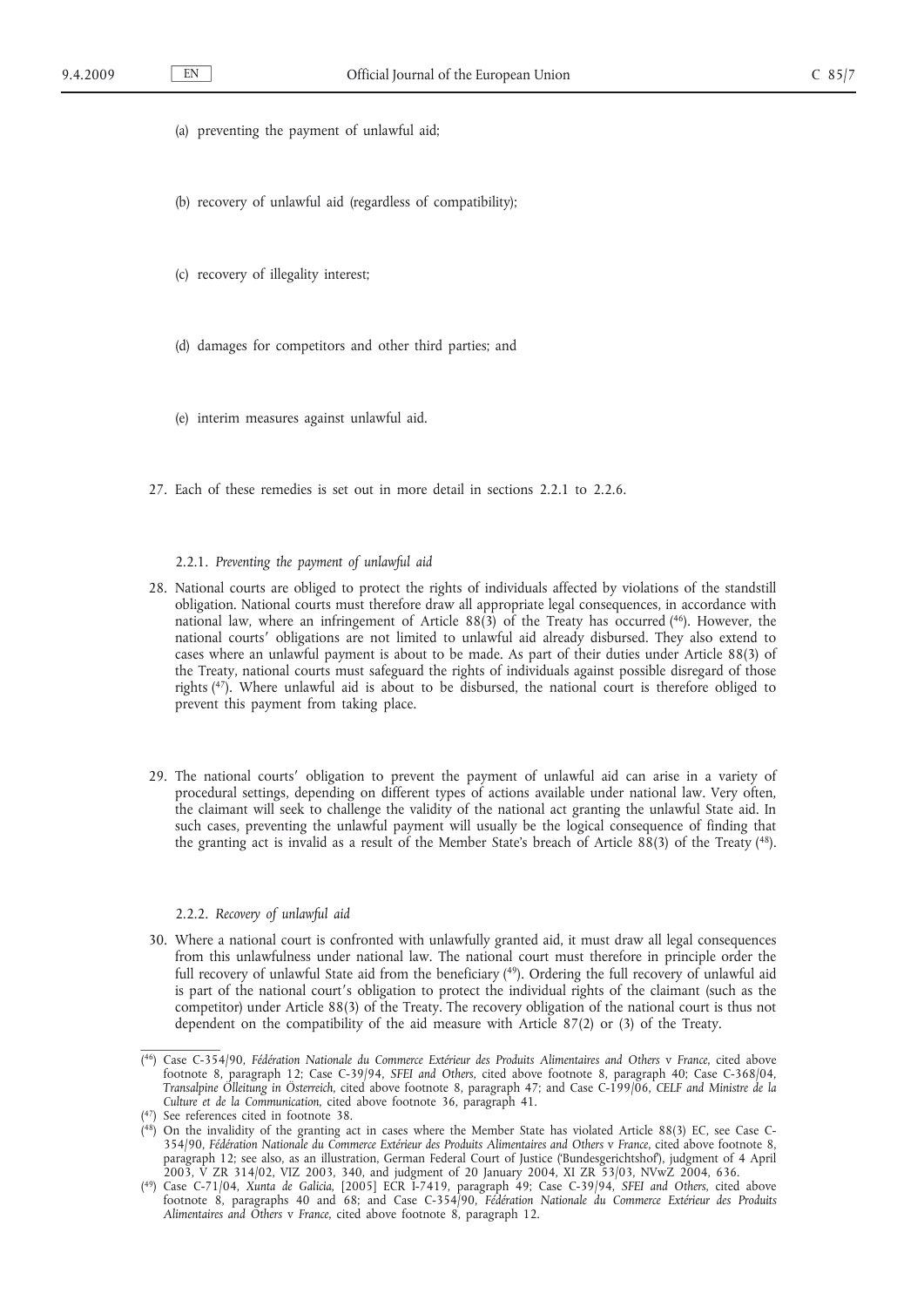- (a) preventing the payment of unlawful aid;
- (b) recovery of unlawful aid (regardless of compatibility);
- (c) recovery of illegality interest;
- (d) damages for competitors and other third parties; and
- (e) interim measures against unlawful aid.
- 27. Each of these remedies is set out in more detail in sections 2.2.1 to 2.2.6.

## 2.2.1. *Preventing the payment of unlawful aid*

- 28. National courts are obliged to protect the rights of individuals affected by violations of the standstill obligation. National courts must therefore draw all appropriate legal consequences, in accordance with national law, where an infringement of Article  $88(3)$  of the Treaty has occurred (46). However, the national courts′ obligations are not limited to unlawful aid already disbursed. They also extend to cases where an unlawful payment is about to be made. As part of their duties under Article 88(3) of the Treaty, national courts must safeguard the rights of individuals against possible disregard of those rights (47). Where unlawful aid is about to be disbursed, the national court is therefore obliged to prevent this payment from taking place.
- 29. The national courts′ obligation to prevent the payment of unlawful aid can arise in a variety of procedural settings, depending on different types of actions available under national law. Very often, the claimant will seek to challenge the validity of the national act granting the unlawful State aid. In such cases, preventing the unlawful payment will usually be the logical consequence of finding that the granting act is invalid as a result of the Member State's breach of Article 88(3) of the Treaty (48).

# 2.2.2. *Recovery of unlawful aid*

30. Where a national court is confronted with unlawfully granted aid, it must draw all legal consequences from this unlawfulness under national law. The national court must therefore in principle order the full recovery of unlawful State aid from the beneficiary (49). Ordering the full recovery of unlawful aid is part of the national court′s obligation to protect the individual rights of the claimant (such as the competitor) under Article 88(3) of the Treaty. The recovery obligation of the national court is thus not dependent on the compatibility of the aid measure with Article 87(2) or (3) of the Treaty.

<sup>(</sup> 46) Case C-354/90, *Fédération Nationale du Commerce Extérieur des Produits Alimentaires and Others* v *France*, cited above footnote 8, paragraph 12; Case C-39/94, *SFEI and Others*, cited above footnote 8, paragraph 40; Case C-368/04, *Transalpine Ölleitung in Österreich*, cited above footnote 8, paragraph 47; and Case C-199/06, *CELF and Ministre de la Culture et de la Communication*, cited above footnote 36, paragraph 41.

<sup>(</sup> 47) See references cited in footnote 38.

<sup>(</sup> 48) On the invalidity of the granting act in cases where the Member State has violated Article 88(3) EC, see Case C-354/90, *Fédération Nationale du Commerce Extérieur des Produits Alimentaires and Others* v *France*, cited above footnote 8, paragraph 12; see also, as an illustration, German Federal Court of Justice ('Bundesgerichtshof'), judgment of 4 April 2003, V ZR 314/02, VIZ 2003, 340, and judgment of 20 January 2004, XI ZR 53/03, NVwZ 2004, 636.

<sup>(</sup> 49) Case C-71/04, *Xunta de Galicia*, [2005] ECR I-7419, paragraph 49; Case C-39/94, *SFEI and Others*, cited above footnote 8, paragraphs 40 and 68; and Case C-354/90, *Fédération Nationale du Commerce Extérieur des Produits Alimentaires and Others* v *France*, cited above footnote 8, paragraph 12.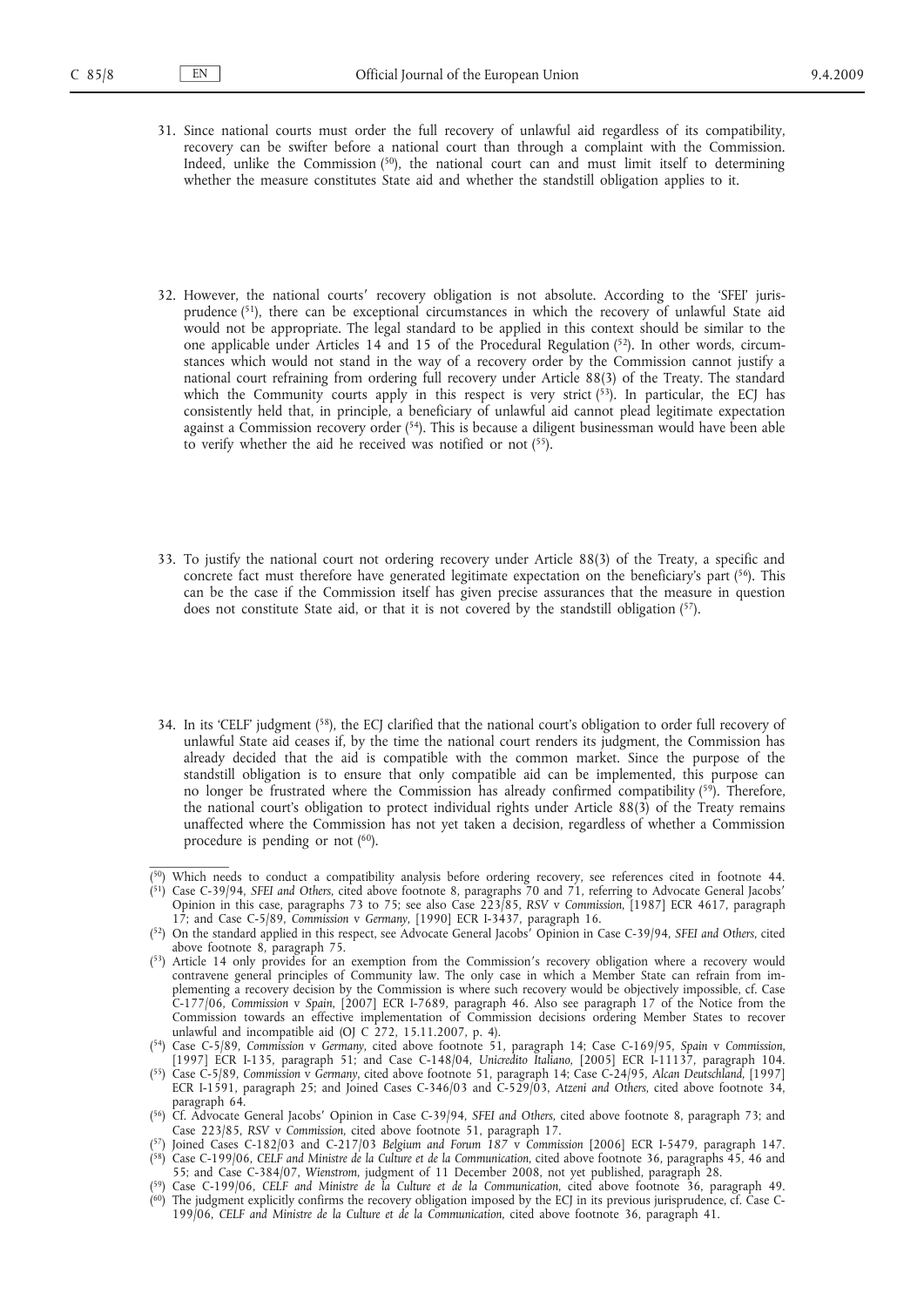- 31. Since national courts must order the full recovery of unlawful aid regardless of its compatibility, recovery can be swifter before a national court than through a complaint with the Commission. Indeed, unlike the Commission (50), the national court can and must limit itself to determining whether the measure constitutes State aid and whether the standstill obligation applies to it.
- 32. However, the national courts′ recovery obligation is not absolute. According to the 'SFEI' jurisprudence (51), there can be exceptional circumstances in which the recovery of unlawful State aid would not be appropriate. The legal standard to be applied in this context should be similar to the one applicable under Articles 14 and 15 of the Procedural Regulation (52). In other words, circumstances which would not stand in the way of a recovery order by the Commission cannot justify a national court refraining from ordering full recovery under Article 88(3) of the Treaty. The standard which the Community courts apply in this respect is very strict  $(5^3)$ . In particular, the ECJ has consistently held that, in principle, a beneficiary of unlawful aid cannot plead legitimate expectation against a Commission recovery order  $(54)$ . This is because a diligent businessman would have been able to verify whether the aid he received was notified or not (55).
- 33. To justify the national court not ordering recovery under Article 88(3) of the Treaty, a specific and concrete fact must therefore have generated legitimate expectation on the beneficiary's part  $(56)$ . This can be the case if the Commission itself has given precise assurances that the measure in question does not constitute State aid, or that it is not covered by the standstill obligation (57).
- 34. In its 'CELF' judgment (58), the ECJ clarified that the national court's obligation to order full recovery of unlawful State aid ceases if, by the time the national court renders its judgment, the Commission has already decided that the aid is compatible with the common market. Since the purpose of the standstill obligation is to ensure that only compatible aid can be implemented, this purpose can no longer be frustrated where the Commission has already confirmed compatibility (59). Therefore, the national court's obligation to protect individual rights under Article 88(3) of the Treaty remains unaffected where the Commission has not yet taken a decision, regardless of whether a Commission procedure is pending or not  $(60)$ .

<sup>(</sup> 50) Which needs to conduct a compatibility analysis before ordering recovery, see references cited in footnote 44.

<sup>(</sup> 51) Case C-39/94, *SFEI and Others*, cited above footnote 8, paragraphs 70 and 71, referring to Advocate General Jacobs′ Opinion in this case, paragraphs 73 to 75; see also Case 223/85, *RSV* v *Commission*, [1987] ECR 4617, paragraph 17; and Case C-5/89, *Commission* v *Germany*, [1990] ECR I-3437, paragraph 16.

<sup>(</sup> 52) On the standard applied in this respect, see Advocate General Jacobs′ Opinion in Case C-39/94, *SFEI and Others*, cited above footnote 8, paragraph 75.

<sup>(</sup> 53) Article 14 only provides for an exemption from the Commission′s recovery obligation where a recovery would contravene general principles of Community law. The only case in which a Member State can refrain from implementing a recovery decision by the Commission is where such recovery would be objectively impossible, cf. Case C-177/06, *Commission* v *Spain*, [2007] ECR I-7689, paragraph 46. Also see paragraph 17 of the Notice from the Commission towards an effective implementation of Commission decisions ordering Member States to recover unlawful and incompatible aid (OJ C  $272$ , 15.11.2007, p. 4).

<sup>(</sup> 54) Case C-5/89, *Commission* v *Germany*, cited above footnote 51, paragraph 14; Case C-169/95, *Spain* v *Commission*, [1997] ECR I-135, paragraph 51; and Case C-148/04, *Unicredito Italiano*, [2005] ECR I-11137, paragraph 104.

<sup>(</sup> 55) Case C-5/89, *Commission* v *Germany*, cited above footnote 51, paragraph 14; Case C-24/95, *Alcan Deutschland*, [1997] ECR I-1591, paragraph 25; and Joined Cases C-346/03 and C-529/03, *Atzeni and Others*, cited above footnote 34, paragraph 64.

<sup>(</sup> 56) Cf. Advocate General Jacobs′ Opinion in Case C-39/94, *SFEI and Others*, cited above footnote 8, paragraph 73; and Case 223/85, *RSV* v *Commission*, cited above footnote 51, paragraph 17.

<sup>(</sup> 57) Joined Cases C-182/03 and C-217/03 *Belgium and Forum 187* v *Commission* [2006] ECR I-5479, paragraph 147. ( 58) Case C-199/06, *CELF and Ministre de la Culture et de la Communication*, cited above footnote 36, paragraphs 45, 46 and 55; and Case C-384/07, *Wienstrom*, judgment of 11 December 2008, not yet published, paragraph 28.

<sup>(</sup> 59) Case C-199/06, *CELF and Ministre de la Culture et de la Communication*, cited above footnote 36, paragraph 49.

<sup>&</sup>lt;sup>(60</sup>) The judgment explicitly confirms the recovery obligation imposed by the ECJ in its previous jurisprudence, cf. Case C-199/06, *CELF and Ministre de la Culture et de la Communication*, cited above footnote 36, paragraph 41.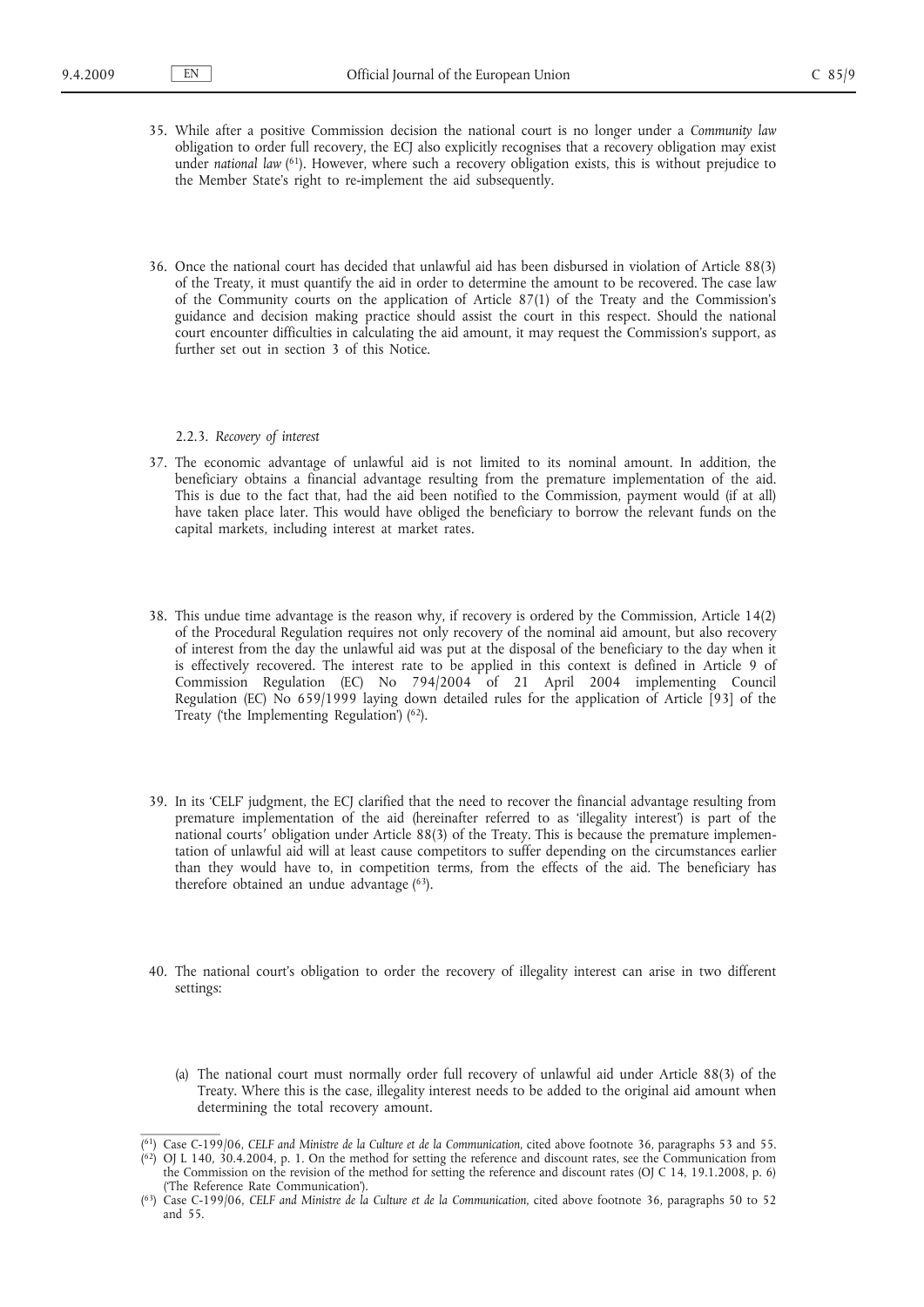- 35. While after a positive Commission decision the national court is no longer under a *Community law* obligation to order full recovery, the ECJ also explicitly recognises that a recovery obligation may exist under *national law* (<sup>61</sup>). However, where such a recovery obligation exists, this is without prejudice to the Member State's right to re-implement the aid subsequently.
- 36. Once the national court has decided that unlawful aid has been disbursed in violation of Article 88(3) of the Treaty, it must quantify the aid in order to determine the amount to be recovered. The case law of the Community courts on the application of Article 87(1) of the Treaty and the Commission's guidance and decision making practice should assist the court in this respect. Should the national court encounter difficulties in calculating the aid amount, it may request the Commission's support, as further set out in section 3 of this Notice.

## 2.2.3. *Recovery of interest*

- 37. The economic advantage of unlawful aid is not limited to its nominal amount. In addition, the beneficiary obtains a financial advantage resulting from the premature implementation of the aid. This is due to the fact that, had the aid been notified to the Commission, payment would (if at all) have taken place later. This would have obliged the beneficiary to borrow the relevant funds on the capital markets, including interest at market rates.
- 38. This undue time advantage is the reason why, if recovery is ordered by the Commission, Article 14(2) of the Procedural Regulation requires not only recovery of the nominal aid amount, but also recovery of interest from the day the unlawful aid was put at the disposal of the beneficiary to the day when it is effectively recovered. The interest rate to be applied in this context is defined in Article 9 of Commission Regulation (EC) No 794/2004 of 21 April 2004 implementing Council Regulation (EC) No 659/1999 laying down detailed rules for the application of Article [93] of the Treaty ('the Implementing Regulation') (62).
- 39. In its 'CELF' judgment, the ECJ clarified that the need to recover the financial advantage resulting from premature implementation of the aid (hereinafter referred to as 'illegality interest') is part of the national courts′ obligation under Article 88(3) of the Treaty. This is because the premature implementation of unlawful aid will at least cause competitors to suffer depending on the circumstances earlier than they would have to, in competition terms, from the effects of the aid. The beneficiary has therefore obtained an undue advantage (63).
- 40. The national court's obligation to order the recovery of illegality interest can arise in two different settings:
	- (a) The national court must normally order full recovery of unlawful aid under Article 88(3) of the Treaty. Where this is the case, illegality interest needs to be added to the original aid amount when determining the total recovery amount.

<sup>(</sup> 61) Case C-199/06, *CELF and Ministre de la Culture et de la Communication*, cited above footnote 36, paragraphs 53 and 55.

 $(62)$  OJ L 140, 30.4.2004, p. 1. On the method for setting the reference and discount rates, see the Communication from the Commission on the revision of the method for setting the reference and discount rates (OJ C 14, 19.1.2008, p. 6) ('The Reference Rate Communication').

<sup>(</sup> 63) Case C-199/06, *CELF and Ministre de la Culture et de la Communication*, cited above footnote 36, paragraphs 50 to 52 and 55.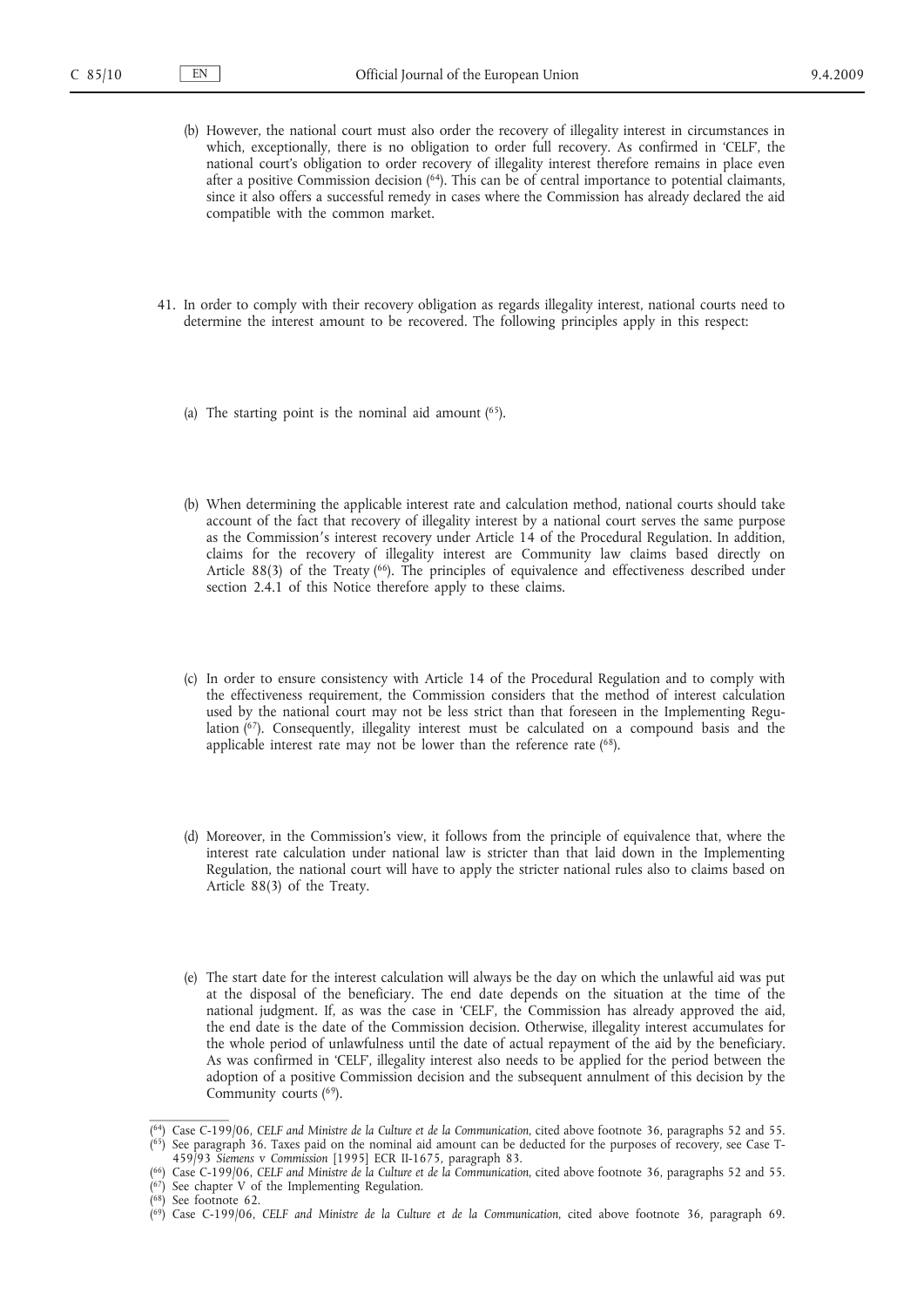- (b) However, the national court must also order the recovery of illegality interest in circumstances in which, exceptionally, there is no obligation to order full recovery. As confirmed in 'CELF', the national court's obligation to order recovery of illegality interest therefore remains in place even after a positive Commission decision (<sup>64</sup>). This can be of central importance to potential claimants, since it also offers a successful remedy in cases where the Commission has already declared the aid compatible with the common market.
- 41. In order to comply with their recovery obligation as regards illegality interest, national courts need to determine the interest amount to be recovered. The following principles apply in this respect:
	- (a) The starting point is the nominal aid amount  $(65)$ .
	- (b) When determining the applicable interest rate and calculation method, national courts should take account of the fact that recovery of illegality interest by a national court serves the same purpose as the Commission′s interest recovery under Article 14 of the Procedural Regulation. In addition, claims for the recovery of illegality interest are Community law claims based directly on Article 88(3) of the Treaty (66). The principles of equivalence and effectiveness described under section 2.4.1 of this Notice therefore apply to these claims.
	- (c) In order to ensure consistency with Article 14 of the Procedural Regulation and to comply with the effectiveness requirement, the Commission considers that the method of interest calculation used by the national court may not be less strict than that foreseen in the Implementing Regulation (67). Consequently, illegality interest must be calculated on a compound basis and the applicable interest rate may not be lower than the reference rate (68).
	- (d) Moreover, in the Commission's view, it follows from the principle of equivalence that, where the interest rate calculation under national law is stricter than that laid down in the Implementing Regulation, the national court will have to apply the stricter national rules also to claims based on Article 88(3) of the Treaty.
	- (e) The start date for the interest calculation will always be the day on which the unlawful aid was put at the disposal of the beneficiary. The end date depends on the situation at the time of the national judgment. If, as was the case in 'CELF', the Commission has already approved the aid, the end date is the date of the Commission decision. Otherwise, illegality interest accumulates for the whole period of unlawfulness until the date of actual repayment of the aid by the beneficiary. As was confirmed in 'CELF', illegality interest also needs to be applied for the period between the adoption of a positive Commission decision and the subsequent annulment of this decision by the Community courts (69).

( 67) See chapter V of the Implementing Regulation. ( 68) See footnote 62.

<sup>(</sup> 64) Case C-199/06, *CELF and Ministre de la Culture et de la Communication*, cited above footnote 36, paragraphs 52 and 55.

<sup>(</sup> 65) See paragraph 36. Taxes paid on the nominal aid amount can be deducted for the purposes of recovery, see Case T-459/93 *Siemens* v *Commission* [1995] ECR II-1675, paragraph 83.

<sup>(</sup> 66) Case C-199/06, *CELF and Ministre de la Culture et de la Communication*, cited above footnote 36, paragraphs 52 and 55.

<sup>(</sup> 69) Case C-199/06, *CELF and Ministre de la Culture et de la Communication*, cited above footnote 36, paragraph 69.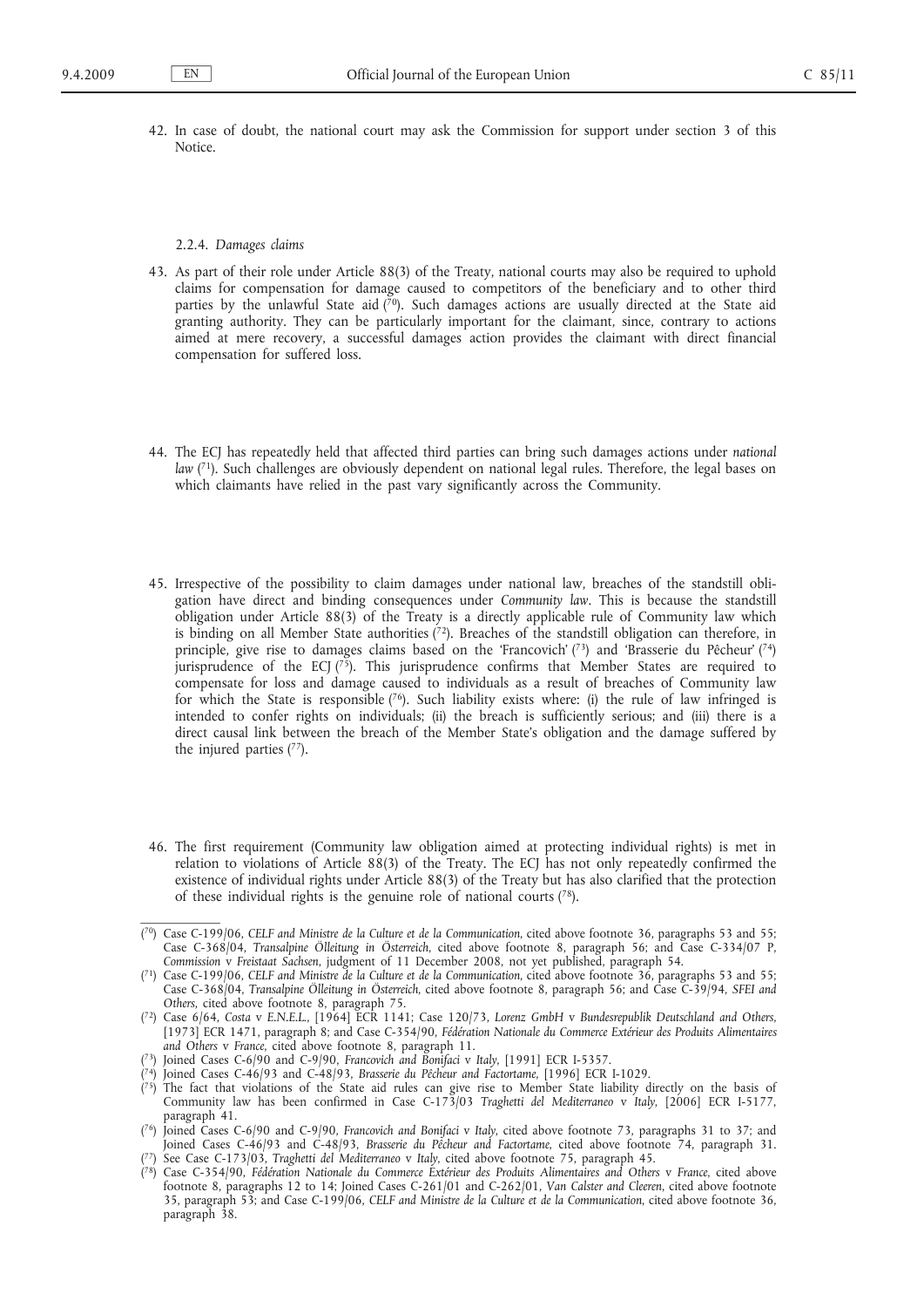42. In case of doubt, the national court may ask the Commission for support under section 3 of this Notice.

## 2.2.4. *Damages claims*

- 43. As part of their role under Article 88(3) of the Treaty, national courts may also be required to uphold claims for compensation for damage caused to competitors of the beneficiary and to other third parties by the unlawful State aid  $(\bar{r}^0)$ . Such damages actions are usually directed at the State aid granting authority. They can be particularly important for the claimant, since, contrary to actions aimed at mere recovery, a successful damages action provides the claimant with direct financial compensation for suffered loss.
- 44. The ECJ has repeatedly held that affected third parties can bring such damages actions under *national law* (71). Such challenges are obviously dependent on national legal rules. Therefore, the legal bases on which claimants have relied in the past vary significantly across the Community.
- 45. Irrespective of the possibility to claim damages under national law, breaches of the standstill obligation have direct and binding consequences under *Community law*. This is because the standstill obligation under Article 88(3) of the Treaty is a directly applicable rule of Community law which is binding on all Member State authorities (72). Breaches of the standstill obligation can therefore, in principle, give rise to damages claims based on the 'Francovich'  $(73)$  and 'Brasserie du Pêcheur'  $(74)$ jurisprudence of the ECJ  $(75)$ . This jurisprudence confirms that Member States are required to compensate for loss and damage caused to individuals as a result of breaches of Community law for which the State is responsible  $(76)$ . Such liability exists where: (i) the rule of law infringed is intended to confer rights on individuals; (ii) the breach is sufficiently serious; and (iii) there is a direct causal link between the breach of the Member State's obligation and the damage suffered by the injured parties  $(77)$ .
- 46. The first requirement (Community law obligation aimed at protecting individual rights) is met in relation to violations of Article 88(3) of the Treaty. The ECJ has not only repeatedly confirmed the existence of individual rights under Article 88(3) of the Treaty but has also clarified that the protection of these individual rights is the genuine role of national courts (78).

<sup>(</sup> 70) Case C-199/06, *CELF and Ministre de la Culture et de la Communication*, cited above footnote 36, paragraphs 53 and 55; Case C-368/04, *Transalpine Ölleitung in Österreich*, cited above footnote 8, paragraph 56; and Case C-334/07 P, *Commission* v *Freistaat Sachsen*, judgment of 11 December 2008, not yet published, paragraph 54.

<sup>(</sup> 71) Case C-199/06, *CELF and Ministre de la Culture et de la Communication*, cited above footnote 36, paragraphs 53 and 55; Case C-368/04, *Transalpine Ölleitung in Österreich*, cited above footnote 8, paragraph 56; and Case C-39/94, *SFEI and Others*, cited above footnote 8, paragraph 75.

<sup>(</sup> 72) Case 6/64, *Costa* v *E.N.E.L*., [1964] ECR 1141; Case 120/73, *Lorenz GmbH* v *Bundesrepublik Deutschland and Others*, [1973] ECR 1471, paragraph 8; and Case C-354/90, *Fédération Nationale du Commerce Extérieur des Produits Alimentaires and Others* v *France*, cited above footnote 8, paragraph 11.

<sup>(</sup> 73) Joined Cases C-6/90 and C-9/90, *Francovich and Bonifaci* v *Italy*, [1991] ECR I-5357.

<sup>(</sup> 74) Joined Cases C-46/93 and C-48/93, *Brasserie du Pêcheur and Factortame*, [1996] ECR I-1029.

 $(75)$  The fact that violations of the State aid rules can give rise to Member State liability directly on the basis of Community law has been confirmed in Case C-173/03 *Traghetti del Mediterraneo* v *Italy*, [2006] ECR I-5177, paragraph 41.

<sup>(</sup> 76) Joined Cases C-6/90 and C-9/90, *Francovich and Bonifaci* v *Italy*, cited above footnote 73, paragraphs 31 to 37; and Joined Cases C-46/93 and C-48/93, *Brasserie du Pêcheur and Factortame*, cited above footnote 74, paragraph 31. ( 77) See Case C-173/03, *Traghetti del Mediterraneo* v *Italy*, cited above footnote 75, paragraph 45.

<sup>(</sup> 78) Case C-354/90, *Fédération Nationale du Commerce Extérieur des Produits Alimentaires and Others* v *France*, cited above footnote 8, paragraphs 12 to 14; Joined Cases C-261/01 and C-262/01, *Van Calster and Cleeren*, cited above footnote 35, paragraph 53; and Case C-199/06, *CELF and Ministre de la Culture et de la Communication*, cited above footnote 36, paragraph 38.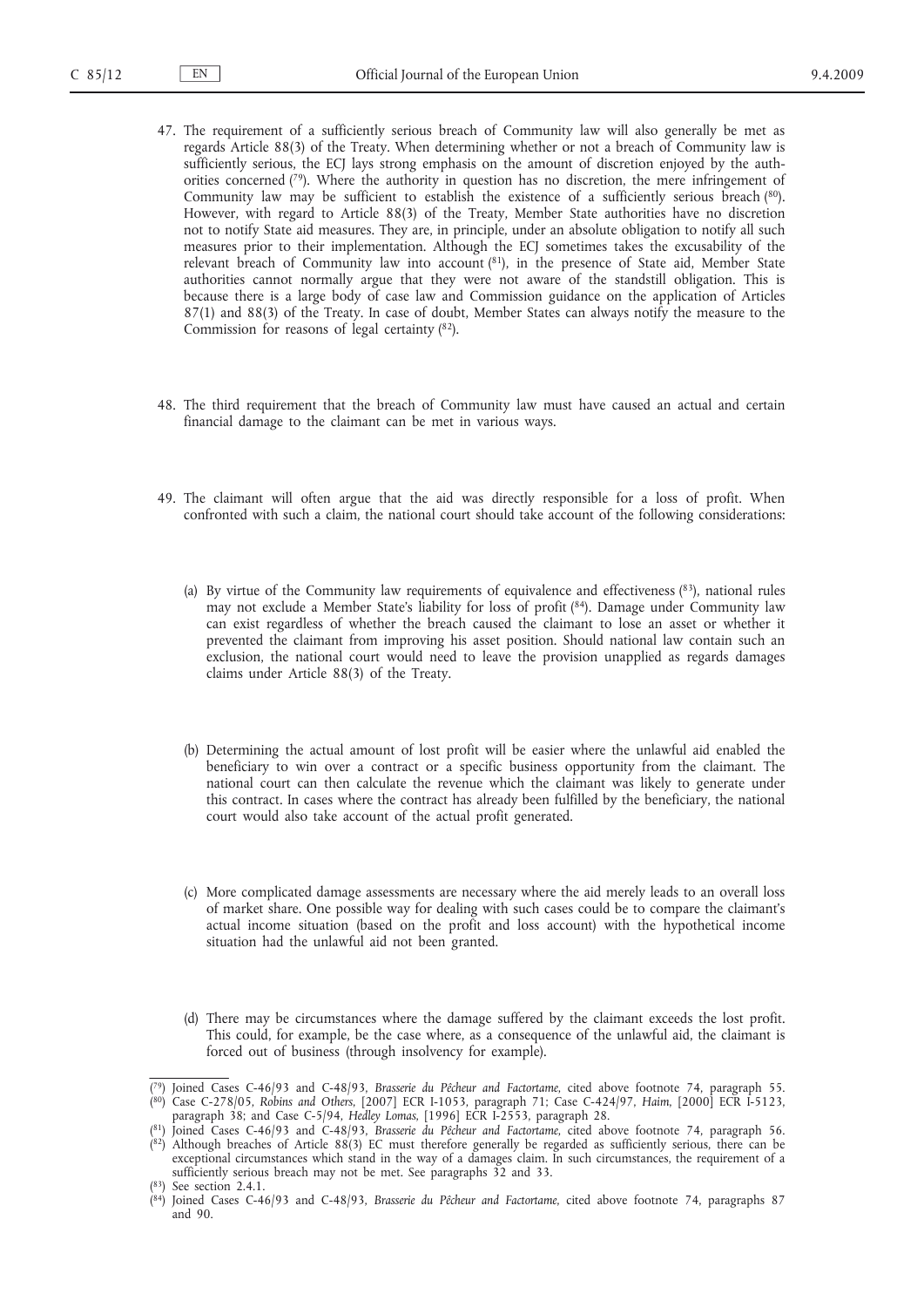- 47. The requirement of a sufficiently serious breach of Community law will also generally be met as regards Article 88(3) of the Treaty. When determining whether or not a breach of Community law is sufficiently serious, the ECJ lays strong emphasis on the amount of discretion enjoyed by the authorities concerned (79). Where the authority in question has no discretion, the mere infringement of Community law may be sufficient to establish the existence of a sufficiently serious breach  $(80)$ . However, with regard to Article 88(3) of the Treaty, Member State authorities have no discretion not to notify State aid measures. They are, in principle, under an absolute obligation to notify all such measures prior to their implementation. Although the ECJ sometimes takes the excusability of the relevant breach of Community law into account (81), in the presence of State aid, Member State authorities cannot normally argue that they were not aware of the standstill obligation. This is because there is a large body of case law and Commission guidance on the application of Articles 87(1) and 88(3) of the Treaty. In case of doubt, Member States can always notify the measure to the Commission for reasons of legal certainty  $(^{82})$ .
- 48. The third requirement that the breach of Community law must have caused an actual and certain financial damage to the claimant can be met in various ways.
- 49. The claimant will often argue that the aid was directly responsible for a loss of profit. When confronted with such a claim, the national court should take account of the following considerations:
	- (a) By virtue of the Community law requirements of equivalence and effectiveness  $(^{83})$ , national rules may not exclude a Member State's liability for loss of profit (84). Damage under Community law can exist regardless of whether the breach caused the claimant to lose an asset or whether it prevented the claimant from improving his asset position. Should national law contain such an exclusion, the national court would need to leave the provision unapplied as regards damages claims under Article 88(3) of the Treaty.
	- (b) Determining the actual amount of lost profit will be easier where the unlawful aid enabled the beneficiary to win over a contract or a specific business opportunity from the claimant. The national court can then calculate the revenue which the claimant was likely to generate under this contract. In cases where the contract has already been fulfilled by the beneficiary, the national court would also take account of the actual profit generated.
	- (c) More complicated damage assessments are necessary where the aid merely leads to an overall loss of market share. One possible way for dealing with such cases could be to compare the claimant's actual income situation (based on the profit and loss account) with the hypothetical income situation had the unlawful aid not been granted.
	- (d) There may be circumstances where the damage suffered by the claimant exceeds the lost profit. This could, for example, be the case where, as a consequence of the unlawful aid, the claimant is forced out of business (through insolvency for example).

<sup>(</sup> 79) Joined Cases C-46/93 and C-48/93, *Brasserie du Pêcheur and Factortame*, cited above footnote 74, paragraph 55. ( 80) Case C-278/05, *Robins and Others*, [2007] ECR I-1053, paragraph 71; Case C-424/97, *Haim*, [2000] ECR I-5123,

paragraph 38; and Case C-5/94, *Hedley Lomas*, [1996] ECR I-2553, paragraph 28.

<sup>(</sup> 81) Joined Cases C-46/93 and C-48/93, *Brasserie du Pêcheur and Factortame*, cited above footnote 74, paragraph 56.  $(82)$  Although breaches of Article 88(3) EC must therefore generally be regarded as sufficiently serious, there can be exceptional circumstances which stand in the way of a damages claim. In such circumstances, the requirement of a sufficiently serious breach may not be met. See paragraphs 32 and 33.

<sup>(</sup> 83) See section 2.4.1.

<sup>(</sup> 84) Joined Cases C-46/93 and C-48/93, *Brasserie du Pêcheur and Factortame*, cited above footnote 74, paragraphs 87 and 90.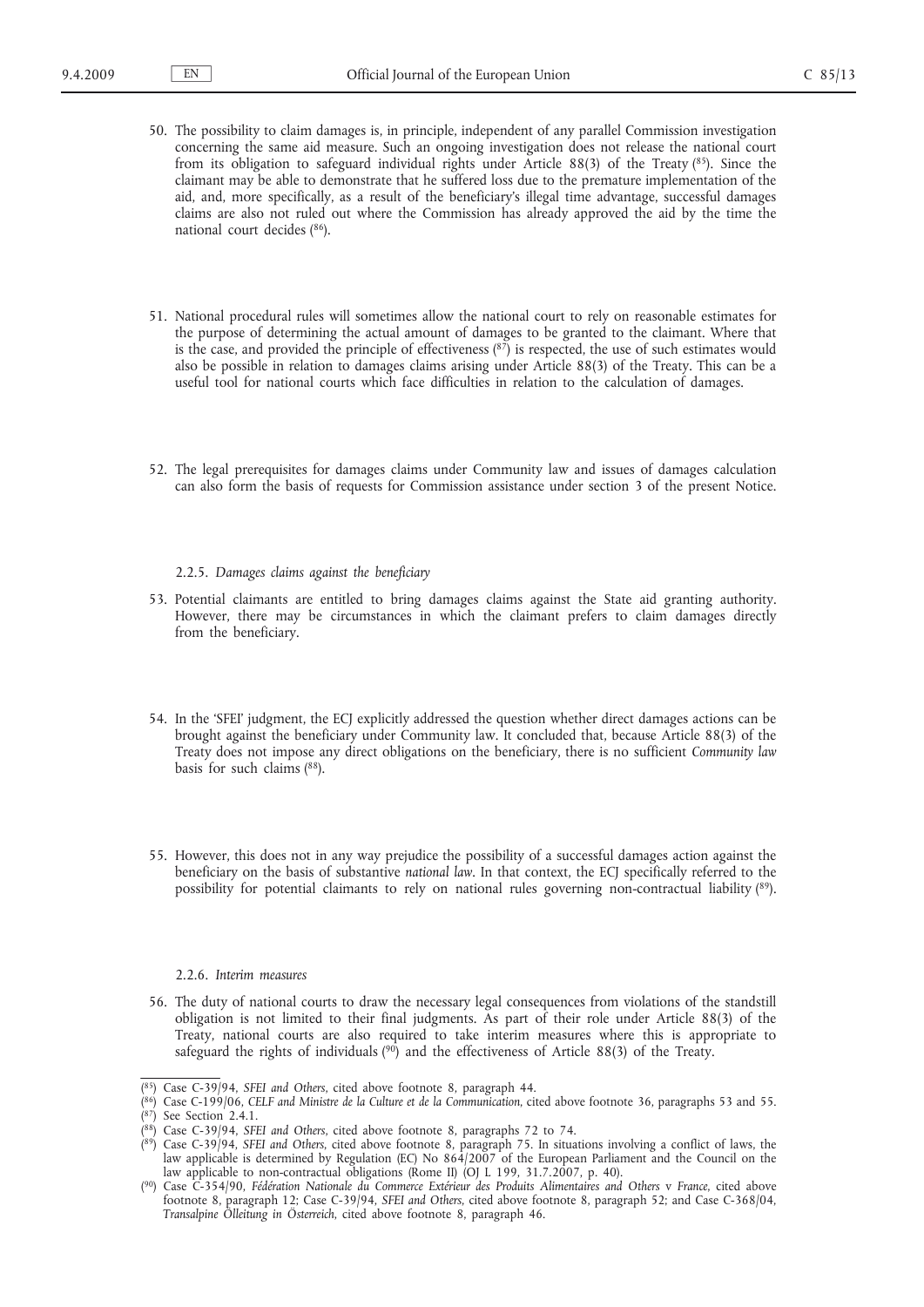- 50. The possibility to claim damages is, in principle, independent of any parallel Commission investigation concerning the same aid measure. Such an ongoing investigation does not release the national court from its obligation to safeguard individual rights under Article 88(3) of the Treaty (85). Since the claimant may be able to demonstrate that he suffered loss due to the premature implementation of the aid, and, more specifically, as a result of the beneficiary's illegal time advantage, successful damages claims are also not ruled out where the Commission has already approved the aid by the time the national court decides (86).
- 51. National procedural rules will sometimes allow the national court to rely on reasonable estimates for the purpose of determining the actual amount of damages to be granted to the claimant. Where that is the case, and provided the principle of effectiveness  $(87)$  is respected, the use of such estimates would also be possible in relation to damages claims arising under Article 88(3) of the Treaty. This can be a useful tool for national courts which face difficulties in relation to the calculation of damages.
- 52. The legal prerequisites for damages claims under Community law and issues of damages calculation can also form the basis of requests for Commission assistance under section 3 of the present Notice.

2.2.5. *Damages claims against the beneficiary*

- 53. Potential claimants are entitled to bring damages claims against the State aid granting authority. However, there may be circumstances in which the claimant prefers to claim damages directly from the beneficiary.
- 54. In the 'SFEI' judgment, the ECJ explicitly addressed the question whether direct damages actions can be brought against the beneficiary under Community law. It concluded that, because Article 88(3) of the Treaty does not impose any direct obligations on the beneficiary, there is no sufficient *Community law* basis for such claims (88).
- 55. However, this does not in any way prejudice the possibility of a successful damages action against the beneficiary on the basis of substantive *national law*. In that context, the ECJ specifically referred to the possibility for potential claimants to rely on national rules governing non-contractual liability (89).

# 2.2.6. *Interim measures*

56. The duty of national courts to draw the necessary legal consequences from violations of the standstill obligation is not limited to their final judgments. As part of their role under Article 88(3) of the Treaty, national courts are also required to take interim measures where this is appropriate to safeguard the rights of individuals  $(90)$  and the effectiveness of Article 88(3) of the Treaty.

<sup>(</sup> 85) Case C-39/94, *SFEI and Others*, cited above footnote 8, paragraph 44.

<sup>(</sup> 86) Case C-199/06, *CELF and Ministre de la Culture et de la Communication*, cited above footnote 36, paragraphs 53 and 55. ( 87) See Section 2.4.1.

<sup>(</sup> 88) Case C-39/94, *SFEI and Others*, cited above footnote 8, paragraphs 72 to 74.

<sup>(</sup> 89) Case C-39/94, *SFEI and Others*, cited above footnote 8, paragraph 75. In situations involving a conflict of laws, the law applicable is determined by Regulation (EC) No 864/2007 of the European Parliament and the Council on the law applicable to non-contractual obligations (Rome II) (OJ L 199, 31.7.2007, p. 40).

<sup>(</sup> 90) Case C-354/90, *Fédération Nationale du Commerce Extérieur des Produits Alimentaires and Others* v *France*, cited above footnote 8, paragraph 12; Case C-39/94, *SFEI and Others*, cited above footnote 8, paragraph 52; and Case C-368/04, *Transalpine Ölleitung in Österreich*, cited above footnote 8, paragraph 46.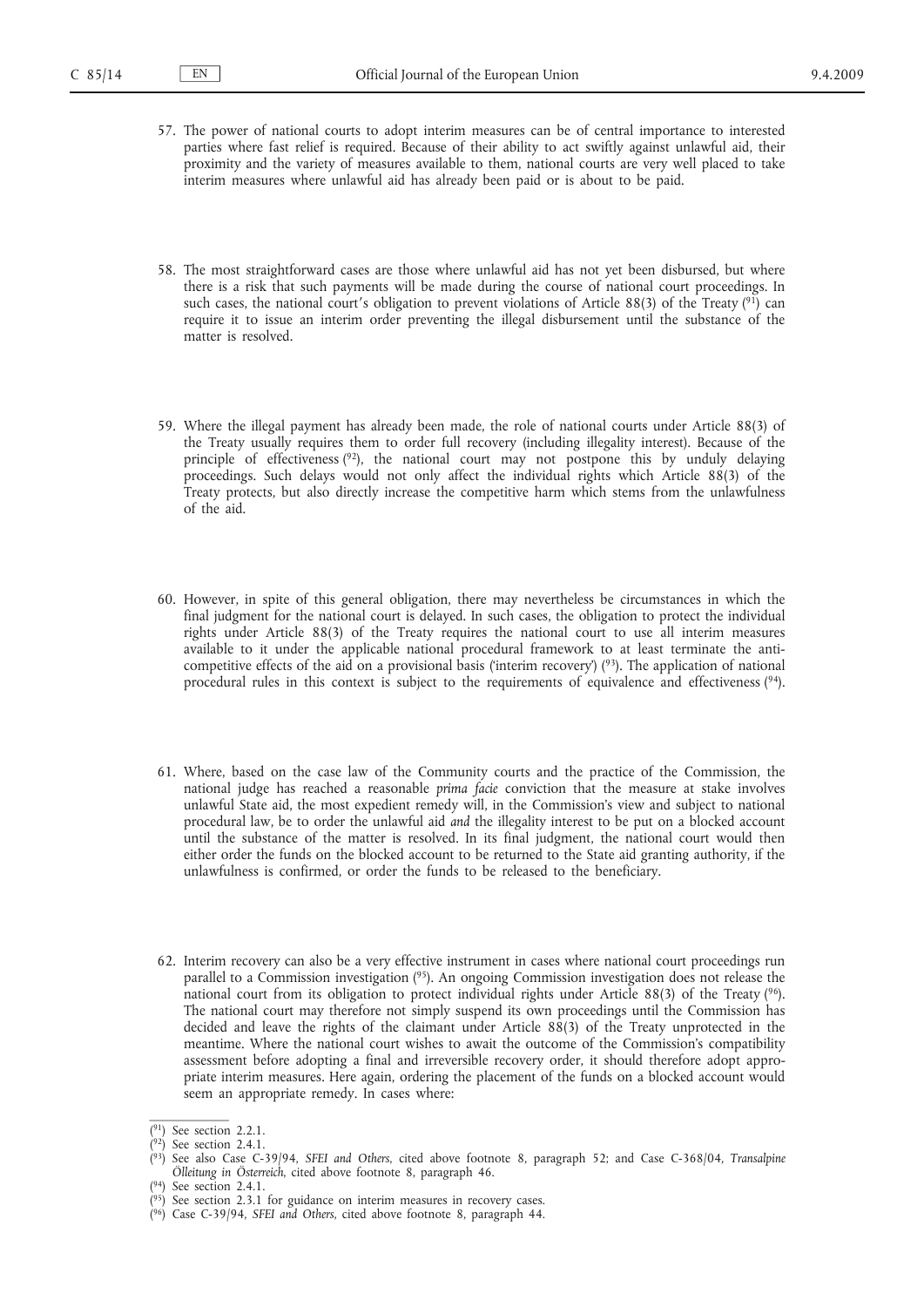- 57. The power of national courts to adopt interim measures can be of central importance to interested parties where fast relief is required. Because of their ability to act swiftly against unlawful aid, their proximity and the variety of measures available to them, national courts are very well placed to take interim measures where unlawful aid has already been paid or is about to be paid.
- 58. The most straightforward cases are those where unlawful aid has not yet been disbursed, but where there is a risk that such payments will be made during the course of national court proceedings. In such cases, the national court's obligation to prevent violations of Article 88(3) of the Treaty ( $91$ ) can require it to issue an interim order preventing the illegal disbursement until the substance of the matter is resolved.
- 59. Where the illegal payment has already been made, the role of national courts under Article 88(3) of the Treaty usually requires them to order full recovery (including illegality interest). Because of the principle of effectiveness (92), the national court may not postpone this by unduly delaying proceedings. Such delays would not only affect the individual rights which Article 88(3) of the Treaty protects, but also directly increase the competitive harm which stems from the unlawfulness of the aid.
- 60. However, in spite of this general obligation, there may nevertheless be circumstances in which the final judgment for the national court is delayed. In such cases, the obligation to protect the individual rights under Article 88(3) of the Treaty requires the national court to use all interim measures available to it under the applicable national procedural framework to at least terminate the anticompetitive effects of the aid on a provisional basis ('interim recovery')  $(^{93})$ . The application of national procedural rules in this context is subject to the requirements of equivalence and effectiveness (94).
- 61. Where, based on the case law of the Community courts and the practice of the Commission, the national judge has reached a reasonable *prima facie* conviction that the measure at stake involves unlawful State aid, the most expedient remedy will, in the Commission's view and subject to national procedural law, be to order the unlawful aid *and* the illegality interest to be put on a blocked account until the substance of the matter is resolved. In its final judgment, the national court would then either order the funds on the blocked account to be returned to the State aid granting authority, if the unlawfulness is confirmed, or order the funds to be released to the beneficiary.
- 62. Interim recovery can also be a very effective instrument in cases where national court proceedings run parallel to a Commission investigation (95). An ongoing Commission investigation does not release the national court from its obligation to protect individual rights under Article 88(3) of the Treaty (96). The national court may therefore not simply suspend its own proceedings until the Commission has decided and leave the rights of the claimant under Article 88(3) of the Treaty unprotected in the meantime. Where the national court wishes to await the outcome of the Commission's compatibility assessment before adopting a final and irreversible recovery order, it should therefore adopt appropriate interim measures. Here again, ordering the placement of the funds on a blocked account would seem an appropriate remedy. In cases where:

 $(91)$  See section 2.2.1.

 $(92)$  See section 2.4.1.

<sup>(</sup> 93) See also Case C-39/94, *SFEI and Others*, cited above footnote 8, paragraph 52; and Case C-368/04, *Transalpine Ölleitung in Österreich*, cited above footnote 8, paragraph 46.

<sup>(</sup> 94) See section 2.4.1.

 $(95)$  See section 2.3.1 for guidance on interim measures in recovery cases.

<sup>(</sup> 96) Case C-39/94, *SFEI and Others*, cited above footnote 8, paragraph 44.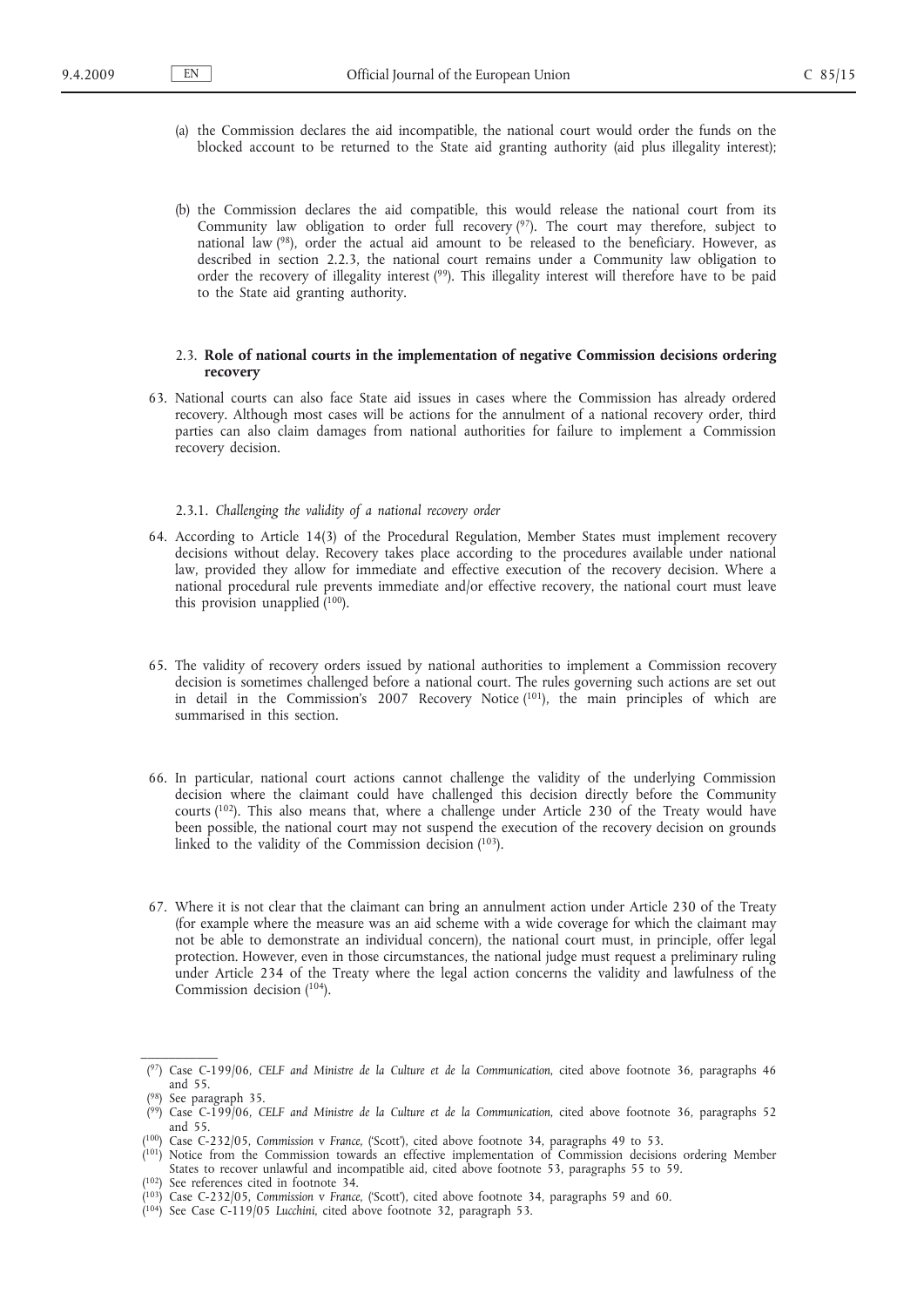- (a) the Commission declares the aid incompatible, the national court would order the funds on the blocked account to be returned to the State aid granting authority (aid plus illegality interest);
- (b) the Commission declares the aid compatible, this would release the national court from its Community law obligation to order full recovery (97). The court may therefore, subject to national law  $(^{98})$ , order the actual aid amount to be released to the beneficiary. However, as described in section 2.2.3, the national court remains under a Community law obligation to order the recovery of illegality interest (99). This illegality interest will therefore have to be paid to the State aid granting authority.

# 2.3. **Role of national courts in the implementation of negative Commission decisions ordering recovery**

63. National courts can also face State aid issues in cases where the Commission has already ordered recovery. Although most cases will be actions for the annulment of a national recovery order, third parties can also claim damages from national authorities for failure to implement a Commission recovery decision.

# 2.3.1. *Challenging the validity of a national recovery order*

- 64. According to Article 14(3) of the Procedural Regulation, Member States must implement recovery decisions without delay. Recovery takes place according to the procedures available under national law, provided they allow for immediate and effective execution of the recovery decision. Where a national procedural rule prevents immediate and/or effective recovery, the national court must leave this provision unapplied  $(100)$ .
- 65. The validity of recovery orders issued by national authorities to implement a Commission recovery decision is sometimes challenged before a national court. The rules governing such actions are set out in detail in the Commission's  $2007$  Recovery Notice  $(101)$ , the main principles of which are summarised in this section.
- 66. In particular, national court actions cannot challenge the validity of the underlying Commission decision where the claimant could have challenged this decision directly before the Community courts (102). This also means that, where a challenge under Article 230 of the Treaty would have been possible, the national court may not suspend the execution of the recovery decision on grounds linked to the validity of the Commission decision (103).
- 67. Where it is not clear that the claimant can bring an annulment action under Article 230 of the Treaty (for example where the measure was an aid scheme with a wide coverage for which the claimant may not be able to demonstrate an individual concern), the national court must, in principle, offer legal protection. However, even in those circumstances, the national judge must request a preliminary ruling under Article 234 of the Treaty where the legal action concerns the validity and lawfulness of the Commission decision (104).

 $\mathcal{L}=\mathcal{L}$ 

( 100) Case C-232/05, *Commission* v *France*, ('Scott'), cited above footnote 34, paragraphs 49 to 53.

( 102) See references cited in footnote 34.

<sup>(</sup> 97) Case C-199/06, *CELF and Ministre de la Culture et de la Communication*, cited above footnote 36, paragraphs 46 and 55.

<sup>(</sup> 98) See paragraph 35.

<sup>(</sup> 99) Case C-199/06, *CELF and Ministre de la Culture et de la Communication*, cited above footnote 36, paragraphs 52 and 55.

<sup>(</sup> 101) Notice from the Commission towards an effective implementation of Commission decisions ordering Member States to recover unlawful and incompatible aid, cited above footnote 53, paragraphs 55 to 59.

<sup>(</sup> 103) Case C-232/05, *Commission* v *France*, ('Scott'), cited above footnote 34, paragraphs 59 and 60.

<sup>(</sup> 104) See Case C-119/05 *Lucchini*, cited above footnote 32, paragraph 53.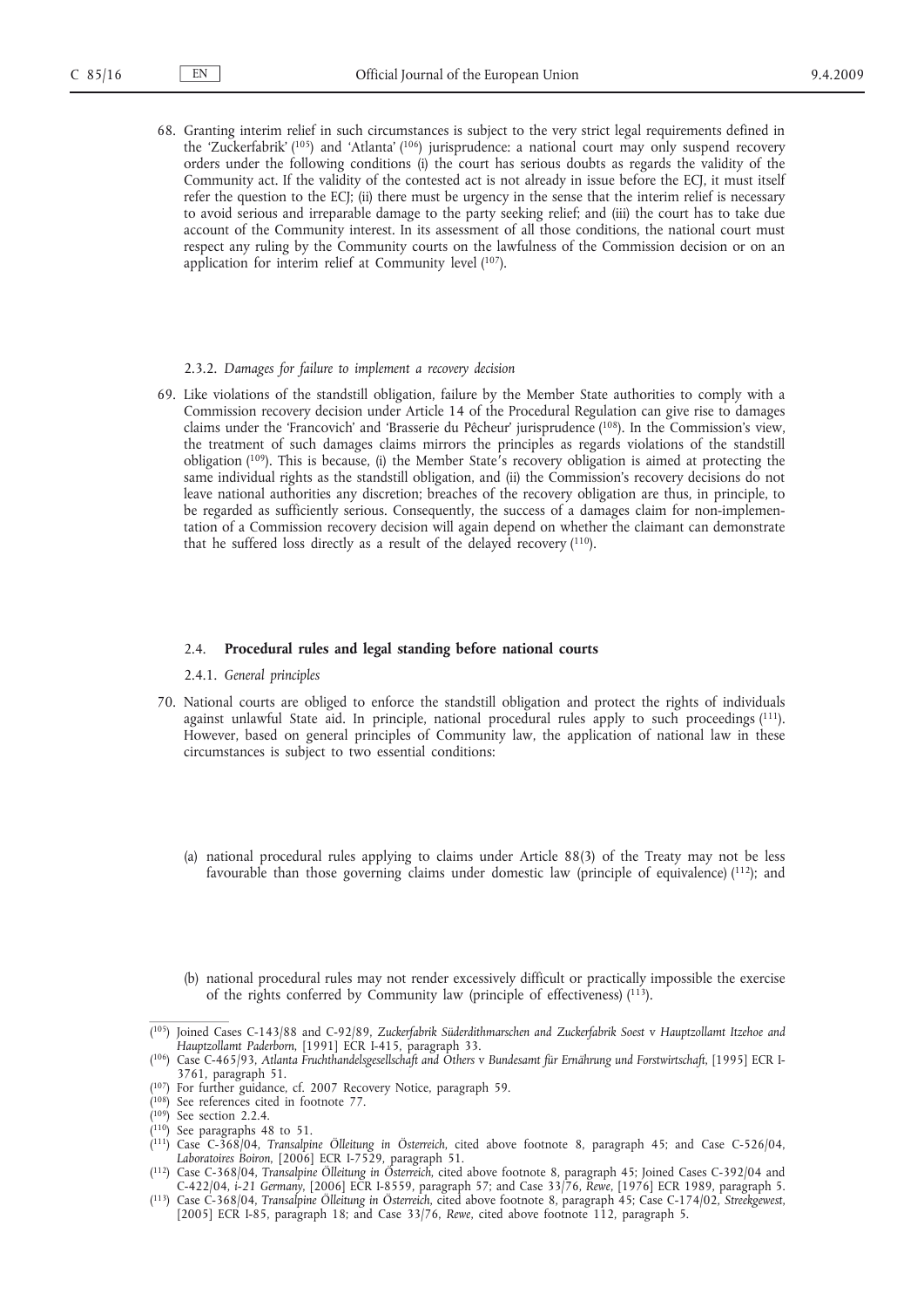68. Granting interim relief in such circumstances is subject to the very strict legal requirements defined in the 'Zuckerfabrik' (105) and 'Atlanta' (106) jurisprudence: a national court may only suspend recovery orders under the following conditions (i) the court has serious doubts as regards the validity of the Community act. If the validity of the contested act is not already in issue before the ECJ, it must itself refer the question to the ECJ; (ii) there must be urgency in the sense that the interim relief is necessary to avoid serious and irreparable damage to the party seeking relief; and (iii) the court has to take due account of the Community interest. In its assessment of all those conditions, the national court must respect any ruling by the Community courts on the lawfulness of the Commission decision or on an application for interim relief at Community level (107).

#### 2.3.2. *Damages for failure to implement a recovery decision*

69. Like violations of the standstill obligation, failure by the Member State authorities to comply with a Commission recovery decision under Article 14 of the Procedural Regulation can give rise to damages claims under the 'Francovich' and 'Brasserie du Pêcheur' jurisprudence (108). In the Commission's view, the treatment of such damages claims mirrors the principles as regards violations of the standstill obligation ( $109$ ). This is because, (i) the Member State<sup>7</sup>s recovery obligation is aimed at protecting the same individual rights as the standstill obligation, and (ii) the Commission's recovery decisions do not leave national authorities any discretion; breaches of the recovery obligation are thus, in principle, to be regarded as sufficiently serious. Consequently, the success of a damages claim for non-implementation of a Commission recovery decision will again depend on whether the claimant can demonstrate that he suffered loss directly as a result of the delayed recovery  $(110)$ .

## 2.4. **Procedural rules and legal standing before national courts**

# 2.4.1. *General principles*

- 70. National courts are obliged to enforce the standstill obligation and protect the rights of individuals against unlawful State aid. In principle, national procedural rules apply to such proceedings  $(111)$ . However, based on general principles of Community law, the application of national law in these circumstances is subject to two essential conditions:
	- (a) national procedural rules applying to claims under Article 88(3) of the Treaty may not be less favourable than those governing claims under domestic law (principle of equivalence) (112); and
	- (b) national procedural rules may not render excessively difficult or practically impossible the exercise of the rights conferred by Community law (principle of effectiveness) (113).

<sup>(</sup> 105) Joined Cases C-143/88 and C-92/89, *Zuckerfabrik Süderdithmarschen and Zuckerfabrik Soest* v *Hauptzollamt Itzehoe and Hauptzollamt Paderborn*, [1991] ECR I-415, paragraph 33.

<sup>(</sup> 106) Case C-465/93, *Atlanta Fruchthandelsgesellschaft and Others* v *Bundesamt für Ernährung und Forstwirtschaft*, [1995] ECR I-3761, paragraph 51.

<sup>(</sup> 107) For further guidance, cf. 2007 Recovery Notice, paragraph 59.

<sup>(</sup> 108) See references cited in footnote 77.

<sup>(</sup> 109) See section 2.2.4.

<sup>(</sup> 110) See paragraphs 48 to 51.

<sup>(</sup> 111) Case C-368/04, *Transalpine Ölleitung in Österreich*, cited above footnote 8, paragraph 45; and Case C-526/04, *Laboratoires Boiron*, [2006] ECR I-7529, paragraph 51.

<sup>(</sup> 112) Case C-368/04, *Transalpine Ölleitung in Österreich*, cited above footnote 8, paragraph 45; Joined Cases C-392/04 and C-422/04, *i-21 Germany*, [2006] ECR I-8559, paragraph 57; and Case 33/76, *Rewe*, [1976] ECR 1989, paragraph 5.

<sup>(</sup> 113) Case C-368/04, *Transalpine Ölleitung in Österreich*, cited above footnote 8, paragraph 45; Case C-174/02, *Streekgewest*, [2005] ECR I-85, paragraph 18; and Case 33/76, *Rewe*, cited above footnote 112, paragraph 5.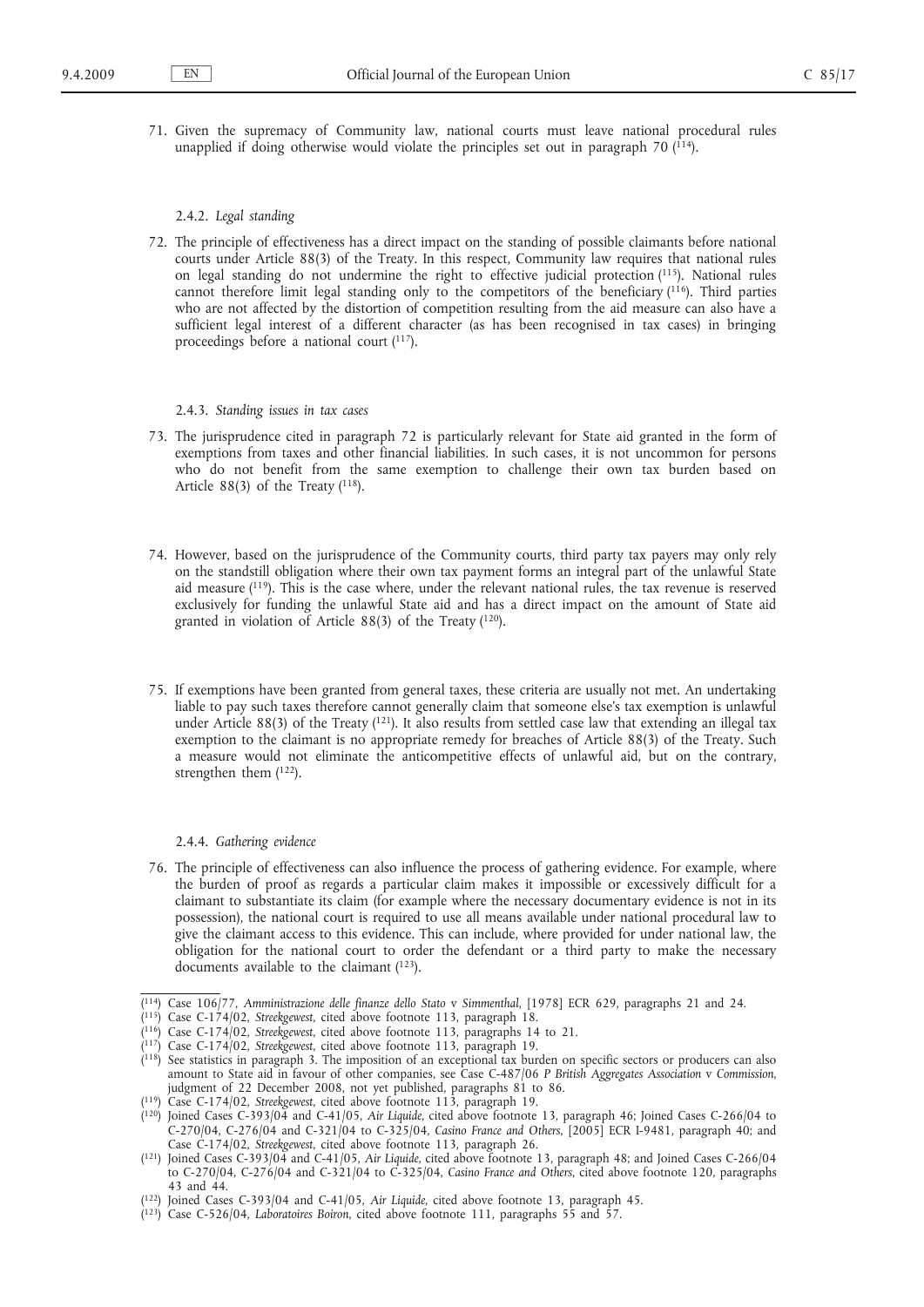71. Given the supremacy of Community law, national courts must leave national procedural rules unapplied if doing otherwise would violate the principles set out in paragraph 70  $(114)$ .

# 2.4.2. *Legal standing*

72. The principle of effectiveness has a direct impact on the standing of possible claimants before national courts under Article 88(3) of the Treaty. In this respect, Community law requires that national rules on legal standing do not undermine the right to effective judicial protection (115). National rules cannot therefore limit legal standing only to the competitors of the beneficiary (116). Third parties who are not affected by the distortion of competition resulting from the aid measure can also have a sufficient legal interest of a different character (as has been recognised in tax cases) in bringing proceedings before a national court  $(117)$ .

## 2.4.3. *Standing issues in tax cases*

- 73. The jurisprudence cited in paragraph 72 is particularly relevant for State aid granted in the form of exemptions from taxes and other financial liabilities. In such cases, it is not uncommon for persons who do not benefit from the same exemption to challenge their own tax burden based on Article  $88(3)$  of the Treaty ( $118$ ).
- 74. However, based on the jurisprudence of the Community courts, third party tax payers may only rely on the standstill obligation where their own tax payment forms an integral part of the unlawful State aid measure  $(119)$ . This is the case where, under the relevant national rules, the tax revenue is reserved exclusively for funding the unlawful State aid and has a direct impact on the amount of State aid granted in violation of Article 88(3) of the Treaty  $(120)$ .
- 75. If exemptions have been granted from general taxes, these criteria are usually not met. An undertaking liable to pay such taxes therefore cannot generally claim that someone else's tax exemption is unlawful under Article 88(3) of the Treaty  $(121)$ . It also results from settled case law that extending an illegal tax exemption to the claimant is no appropriate remedy for breaches of Article 88(3) of the Treaty. Such a measure would not eliminate the anticompetitive effects of unlawful aid, but on the contrary, strengthen them (122).

## 2.4.4. *Gathering evidence*

76. The principle of effectiveness can also influence the process of gathering evidence. For example, where the burden of proof as regards a particular claim makes it impossible or excessively difficult for a claimant to substantiate its claim (for example where the necessary documentary evidence is not in its possession), the national court is required to use all means available under national procedural law to give the claimant access to this evidence. This can include, where provided for under national law, the obligation for the national court to order the defendant or a third party to make the necessary documents available to the claimant (123).

<sup>(</sup> 114) Case 106/77, *Amministrazione delle finanze dello Stato* v *Simmenthal*, [1978] ECR 629, paragraphs 21 and 24.

<sup>(</sup> 115) Case C-174/02, *Streekgewest*, cited above footnote 113, paragraph 18.

<sup>(</sup> 116) Case C-174/02, *Streekgewest*, cited above footnote 113, paragraphs 14 to 21.

<sup>(</sup> 117) Case C-174/02, *Streekgewest*, cited above footnote 113, paragraph 19.

<sup>(</sup> 118) See statistics in paragraph 3. The imposition of an exceptional tax burden on specific sectors or producers can also amount to State aid in favour of other companies, see Case C-487/06 *P British Aggregates Association* v *Commission*, judgment of 22 December 2008, not yet published, paragraphs 81 to 86.

<sup>(</sup> 119) Case C-174/02, *Streekgewest*, cited above footnote 113, paragraph 19.

<sup>(</sup> 120) Joined Cases C-393/04 and C-41/05, *Air Liquide*, cited above footnote 13, paragraph 46; Joined Cases C-266/04 to C-270/04, C-276/04 and C-321/04 to C-325/04, *Casino France and Others*, [2005] ECR I-9481, paragraph 40; and Case C-174/02, *Streekgewest*, cited above footnote 113, paragraph 26.

<sup>(</sup> 121) Joined Cases C-393/04 and C-41/05, *Air Liquide*, cited above footnote 13, paragraph 48; and Joined Cases C-266/04 to C-270/04, C-276/04 and C-321/04 to C-325/04, *Casino France and Others*, cited above footnote 120, paragraphs 43 and 44.

<sup>(</sup> 122) Joined Cases C-393/04 and C-41/05, *Air Liquide*, cited above footnote 13, paragraph 45.

<sup>(</sup> 123) Case C-526/04, *Laboratoires Boiron*, cited above footnote 111, paragraphs 55 and 57.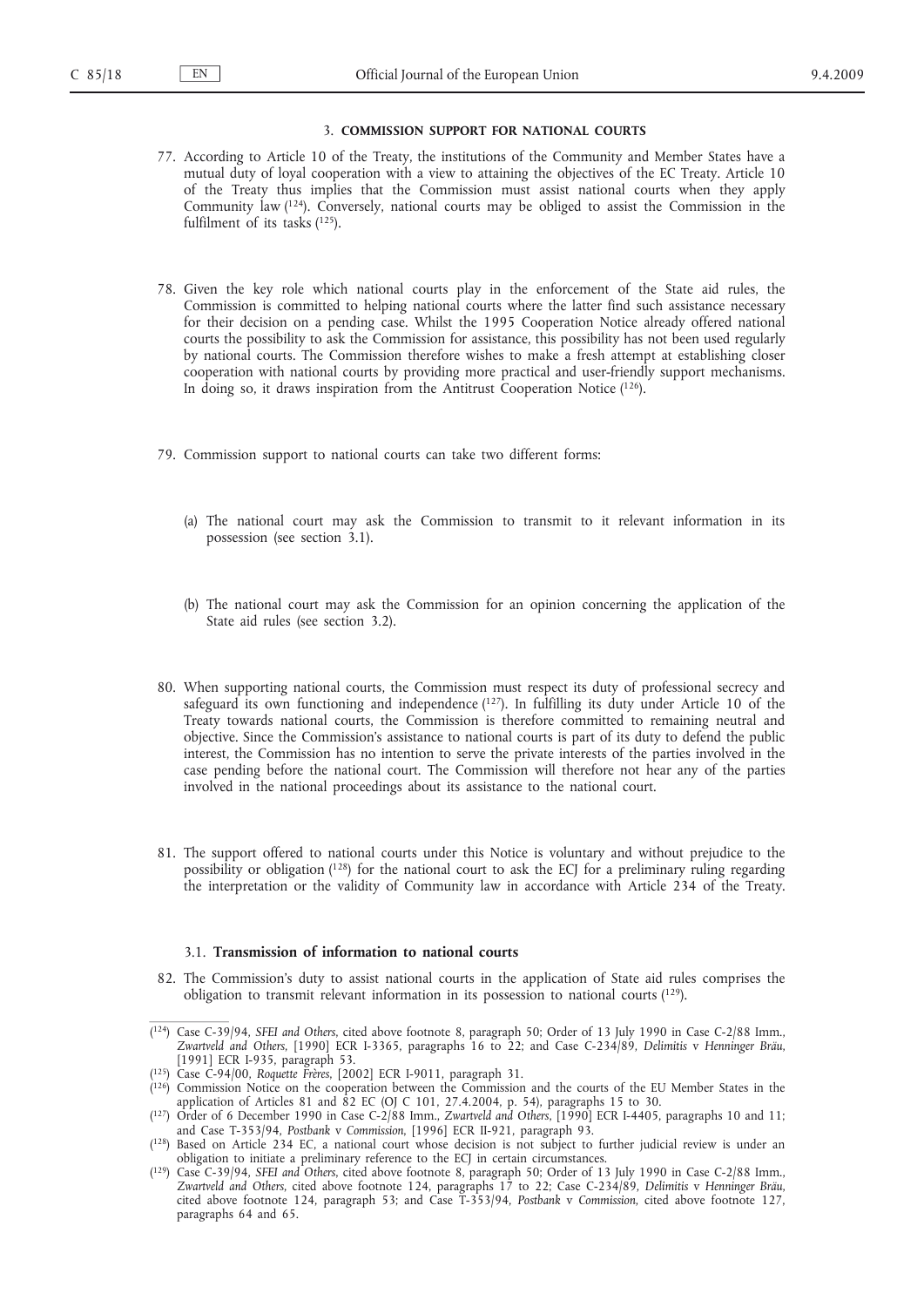## 3. **COMMISSION SUPPORT FOR NATIONAL COURTS**

- 77. According to Article 10 of the Treaty, the institutions of the Community and Member States have a mutual duty of loyal cooperation with a view to attaining the objectives of the EC Treaty. Article 10 of the Treaty thus implies that the Commission must assist national courts when they apply Community law (124). Conversely, national courts may be obliged to assist the Commission in the fulfilment of its tasks (125).
- 78. Given the key role which national courts play in the enforcement of the State aid rules, the Commission is committed to helping national courts where the latter find such assistance necessary for their decision on a pending case. Whilst the 1995 Cooperation Notice already offered national courts the possibility to ask the Commission for assistance, this possibility has not been used regularly by national courts. The Commission therefore wishes to make a fresh attempt at establishing closer cooperation with national courts by providing more practical and user-friendly support mechanisms. In doing so, it draws inspiration from the Antitrust Cooperation Notice  $(126)$ .
- 79. Commission support to national courts can take two different forms:
	- (a) The national court may ask the Commission to transmit to it relevant information in its possession (see section 3.1).
	- (b) The national court may ask the Commission for an opinion concerning the application of the State aid rules (see section 3.2).
- 80. When supporting national courts, the Commission must respect its duty of professional secrecy and safeguard its own functioning and independence (127). In fulfilling its duty under Article 10 of the Treaty towards national courts, the Commission is therefore committed to remaining neutral and objective. Since the Commission's assistance to national courts is part of its duty to defend the public interest, the Commission has no intention to serve the private interests of the parties involved in the case pending before the national court. The Commission will therefore not hear any of the parties involved in the national proceedings about its assistance to the national court.
- 81. The support offered to national courts under this Notice is voluntary and without prejudice to the possibility or obligation (128) for the national court to ask the ECJ for a preliminary ruling regarding the interpretation or the validity of Community law in accordance with Article 234 of the Treaty.

#### 3.1. **Transmission of information to national courts**

82. The Commission's duty to assist national courts in the application of State aid rules comprises the obligation to transmit relevant information in its possession to national courts (129).

<sup>(</sup> 124) Case C-39/94, *SFEI and Others*, cited above footnote 8, paragraph 50; Order of 13 July 1990 in Case C-2/88 Imm., *Zwartveld and Others*, [1990] ECR I-3365, paragraphs 16 to 22; and Case C-234/89, *Delimitis* v *Henninger Bräu*, [1991] ECR I-935, paragraph 53.

<sup>(</sup> 125) Case C-94/00, *Roquette Frères*, [2002] ECR I-9011, paragraph 31.

<sup>(</sup> 126) Commission Notice on the cooperation between the Commission and the courts of the EU Member States in the application of Articles 81 and  $\dot{8}2$  EC (OJ C 101, 27.4.2004, p. 54), paragraphs 15 to 30.

<sup>(</sup> 127) Order of 6 December 1990 in Case C-2/88 Imm., *Zwartveld and Others*, [1990] ECR I-4405, paragraphs 10 and 11; and Case T-353/94, *Postbank* v *Commission*, [1996] ECR II-921, paragraph 93.

<sup>(</sup> 128) Based on Article 234 EC, a national court whose decision is not subject to further judicial review is under an obligation to initiate a preliminary reference to the ECJ in certain circumstances.

<sup>(</sup> 129) Case C-39/94, *SFEI and Others*, cited above footnote 8, paragraph 50; Order of 13 July 1990 in Case C-2/88 Imm., *Zwartveld and Others*, cited above footnote 124, paragraphs 17 to 22; Case C-234/89, *Delimitis* v *Henninger Bräu*, cited above footnote 124, paragraph 53; and Case T-353/94, *Postbank* v *Commission*, cited above footnote 127, paragraphs 64 and 65.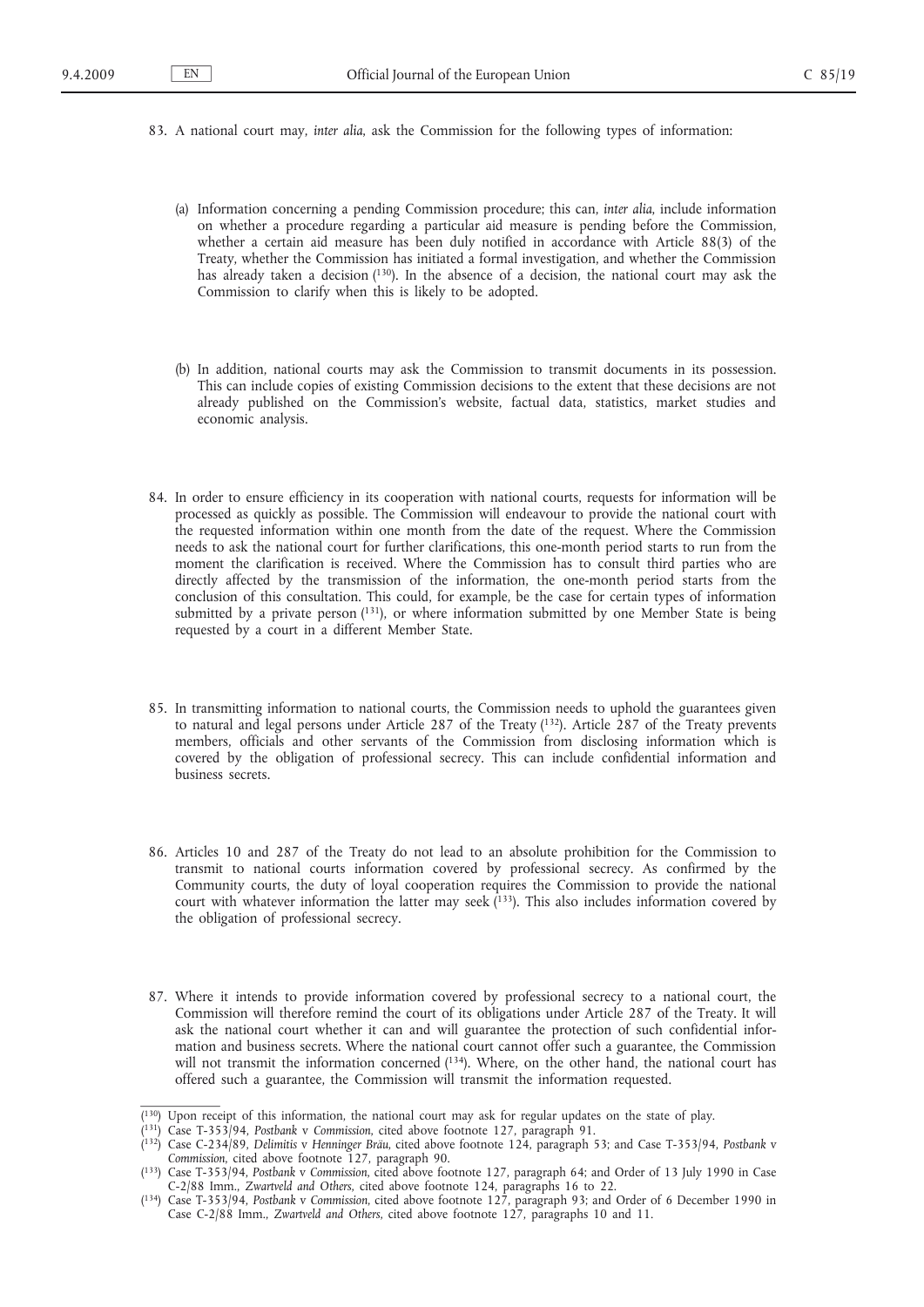- 83. A national court may, *inter alia*, ask the Commission for the following types of information:
	- (a) Information concerning a pending Commission procedure; this can, *inter alia*, include information on whether a procedure regarding a particular aid measure is pending before the Commission, whether a certain aid measure has been duly notified in accordance with Article 88(3) of the Treaty, whether the Commission has initiated a formal investigation, and whether the Commission has already taken a decision  $(130)$ . In the absence of a decision, the national court may ask the Commission to clarify when this is likely to be adopted.
	- (b) In addition, national courts may ask the Commission to transmit documents in its possession. This can include copies of existing Commission decisions to the extent that these decisions are not already published on the Commission's website, factual data, statistics, market studies and economic analysis.
- 84. In order to ensure efficiency in its cooperation with national courts, requests for information will be processed as quickly as possible. The Commission will endeavour to provide the national court with the requested information within one month from the date of the request. Where the Commission needs to ask the national court for further clarifications, this one-month period starts to run from the moment the clarification is received. Where the Commission has to consult third parties who are directly affected by the transmission of the information, the one-month period starts from the conclusion of this consultation. This could, for example, be the case for certain types of information submitted by a private person (<sup>131</sup>), or where information submitted by one Member State is being requested by a court in a different Member State.
- 85. In transmitting information to national courts, the Commission needs to uphold the guarantees given to natural and legal persons under Article 287 of the Treaty (132). Article 287 of the Treaty prevents members, officials and other servants of the Commission from disclosing information which is covered by the obligation of professional secrecy. This can include confidential information and business secrets.
- 86. Articles 10 and 287 of the Treaty do not lead to an absolute prohibition for the Commission to transmit to national courts information covered by professional secrecy. As confirmed by the Community courts, the duty of loyal cooperation requires the Commission to provide the national court with whatever information the latter may seek  $(^{133})$ . This also includes information covered by the obligation of professional secrecy.
- 87. Where it intends to provide information covered by professional secrecy to a national court, the Commission will therefore remind the court of its obligations under Article 287 of the Treaty. It will ask the national court whether it can and will guarantee the protection of such confidential information and business secrets. Where the national court cannot offer such a guarantee, the Commission will not transmit the information concerned (134). Where, on the other hand, the national court has offered such a guarantee, the Commission will transmit the information requested.

<sup>(</sup> 130) Upon receipt of this information, the national court may ask for regular updates on the state of play.

<sup>(</sup> 131) Case T-353/94, *Postbank* v *Commission*, cited above footnote 127, paragraph 91.

<sup>(</sup> 132) Case C-234/89, *Delimitis* v *Henninger Bräu*, cited above footnote 124, paragraph 53; and Case T-353/94, *Postbank* v *Commission*, cited above footnote 127, paragraph 90.

<sup>(</sup> 133) Case T-353/94, *Postbank* v *Commission*, cited above footnote 127, paragraph 64; and Order of 13 July 1990 in Case C-2/88 Imm., *Zwartveld and Others*, cited above footnote 124, paragraphs 16 to 22.

<sup>(</sup> 134) Case T-353/94, *Postbank* v *Commission*, cited above footnote 127, paragraph 93; and Order of 6 December 1990 in Case C-2/88 Imm., *Zwartveld and Others*, cited above footnote 127, paragraphs 10 and 11.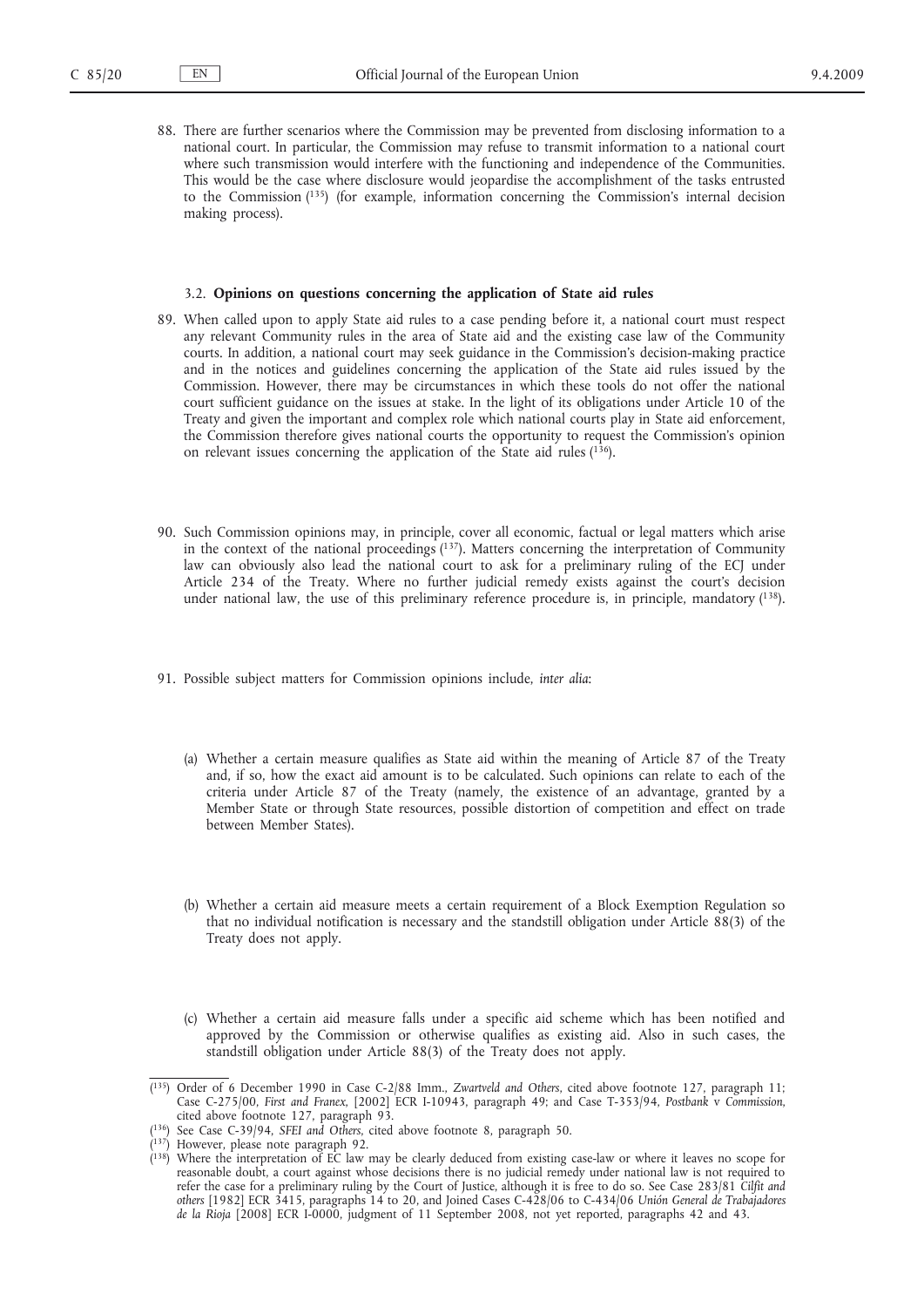88. There are further scenarios where the Commission may be prevented from disclosing information to a national court. In particular, the Commission may refuse to transmit information to a national court where such transmission would interfere with the functioning and independence of the Communities. This would be the case where disclosure would jeopardise the accomplishment of the tasks entrusted to the Commission (135) (for example, information concerning the Commission's internal decision making process).

## 3.2. **Opinions on questions concerning the application of State aid rules**

- 89. When called upon to apply State aid rules to a case pending before it, a national court must respect any relevant Community rules in the area of State aid and the existing case law of the Community courts. In addition, a national court may seek guidance in the Commission's decision-making practice and in the notices and guidelines concerning the application of the State aid rules issued by the Commission. However, there may be circumstances in which these tools do not offer the national court sufficient guidance on the issues at stake. In the light of its obligations under Article 10 of the Treaty and given the important and complex role which national courts play in State aid enforcement, the Commission therefore gives national courts the opportunity to request the Commission's opinion on relevant issues concerning the application of the State aid rules  $(136)$ .
- 90. Such Commission opinions may, in principle, cover all economic, factual or legal matters which arise in the context of the national proceedings  $(137)$ . Matters concerning the interpretation of Community law can obviously also lead the national court to ask for a preliminary ruling of the ECJ under Article 234 of the Treaty. Where no further judicial remedy exists against the court's decision under national law, the use of this preliminary reference procedure is, in principle, mandatory (138).
- 91. Possible subject matters for Commission opinions include, *inter alia*:
	- (a) Whether a certain measure qualifies as State aid within the meaning of Article 87 of the Treaty and, if so, how the exact aid amount is to be calculated. Such opinions can relate to each of the criteria under Article 87 of the Treaty (namely, the existence of an advantage, granted by a Member State or through State resources, possible distortion of competition and effect on trade between Member States).
	- (b) Whether a certain aid measure meets a certain requirement of a Block Exemption Regulation so that no individual notification is necessary and the standstill obligation under Article 88(3) of the Treaty does not apply.
	- (c) Whether a certain aid measure falls under a specific aid scheme which has been notified and approved by the Commission or otherwise qualifies as existing aid. Also in such cases, the standstill obligation under Article 88(3) of the Treaty does not apply.

<sup>(</sup> 135) Order of 6 December 1990 in Case C-2/88 Imm., *Zwartveld and Others*, cited above footnote 127, paragraph 11; Case C-275/00, *First and Franex*, [2002] ECR I-10943, paragraph 49; and Case T-353/94, *Postbank* v *Commission*, cited above footnote 127, paragraph 93.

<sup>(</sup> 136) See Case C-39/94, *SFEI and Others*, cited above footnote 8, paragraph 50.

<sup>(</sup> 137) However, please note paragraph 92.

<sup>(</sup> 138) Where the interpretation of EC law may be clearly deduced from existing case-law or where it leaves no scope for reasonable doubt, a court against whose decisions there is no judicial remedy under national law is not required to refer the case for a preliminary ruling by the Court of Justice, although it is free to do so. See Case 283/81 *Cilfit and others* [1982] ECR 3415, paragraphs 14 to 20, and Joined Cases C-428/06 to C-434/06 *Unión General de Trabajadores de la Rioja* [2008] ECR I-0000, judgment of 11 September 2008, not yet reported, paragraphs 42 and 43.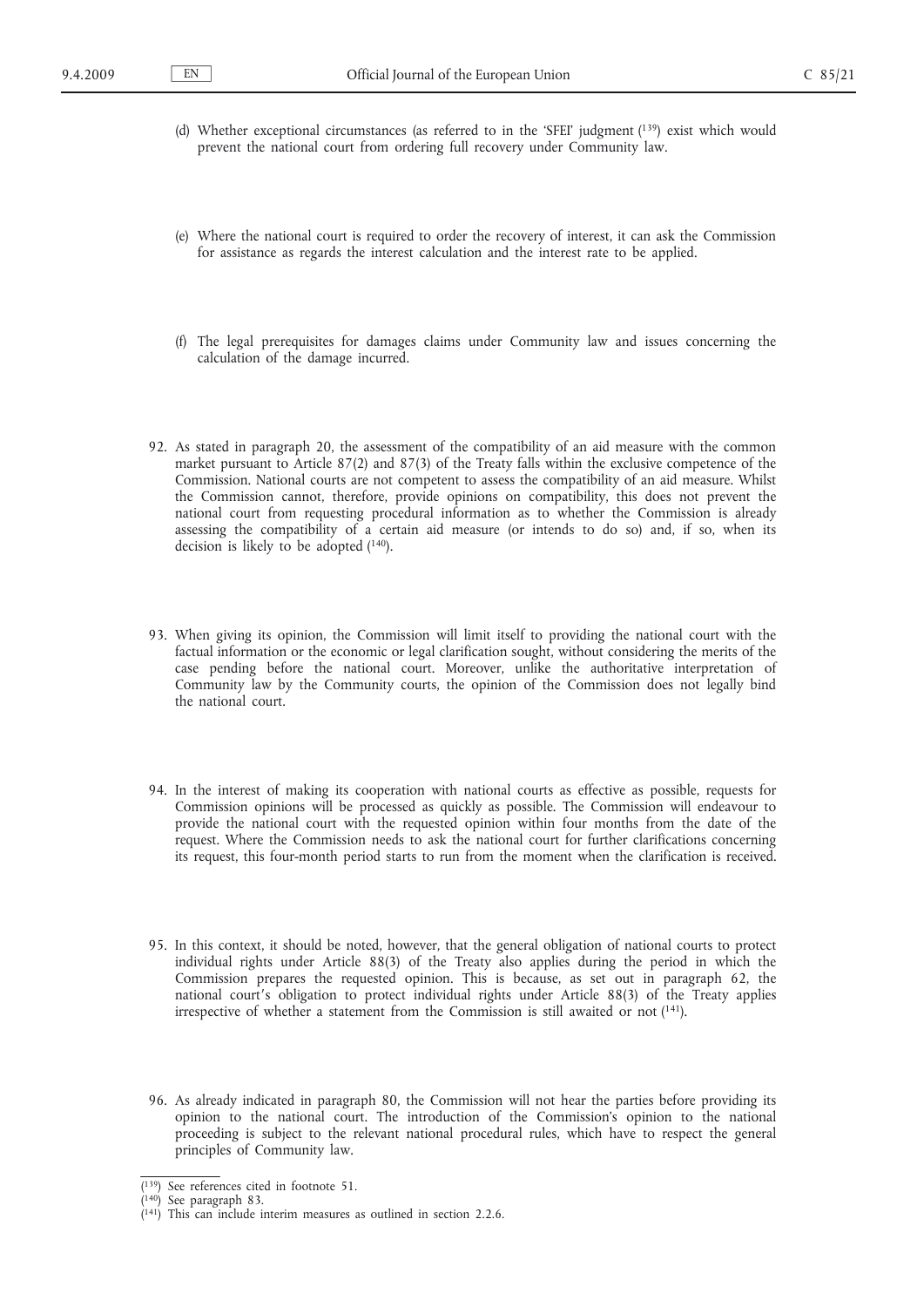- (d) Whether exceptional circumstances (as referred to in the 'SFEI' judgment  $(^{139})$  exist which would prevent the national court from ordering full recovery under Community law.
- (e) Where the national court is required to order the recovery of interest, it can ask the Commission for assistance as regards the interest calculation and the interest rate to be applied.
- (f) The legal prerequisites for damages claims under Community law and issues concerning the calculation of the damage incurred.
- 92. As stated in paragraph 20, the assessment of the compatibility of an aid measure with the common market pursuant to Article 87(2) and 87(3) of the Treaty falls within the exclusive competence of the Commission. National courts are not competent to assess the compatibility of an aid measure. Whilst the Commission cannot, therefore, provide opinions on compatibility, this does not prevent the national court from requesting procedural information as to whether the Commission is already assessing the compatibility of a certain aid measure (or intends to do so) and, if so, when its decision is likely to be adopted  $(140)$ .
- 93. When giving its opinion, the Commission will limit itself to providing the national court with the factual information or the economic or legal clarification sought, without considering the merits of the case pending before the national court. Moreover, unlike the authoritative interpretation of Community law by the Community courts, the opinion of the Commission does not legally bind the national court.
- 94. In the interest of making its cooperation with national courts as effective as possible, requests for Commission opinions will be processed as quickly as possible. The Commission will endeavour to provide the national court with the requested opinion within four months from the date of the request. Where the Commission needs to ask the national court for further clarifications concerning its request, this four-month period starts to run from the moment when the clarification is received.
- 95. In this context, it should be noted, however, that the general obligation of national courts to protect individual rights under Article 88(3) of the Treaty also applies during the period in which the Commission prepares the requested opinion. This is because, as set out in paragraph 62, the national court′s obligation to protect individual rights under Article 88(3) of the Treaty applies irrespective of whether a statement from the Commission is still awaited or not (141).
- 96. As already indicated in paragraph 80, the Commission will not hear the parties before providing its opinion to the national court. The introduction of the Commission's opinion to the national proceeding is subject to the relevant national procedural rules, which have to respect the general principles of Community law.

<sup>(</sup> 139) See references cited in footnote 51.

<sup>(</sup> 140) See paragraph 83.

<sup>(</sup> 141) This can include interim measures as outlined in section 2.2.6.